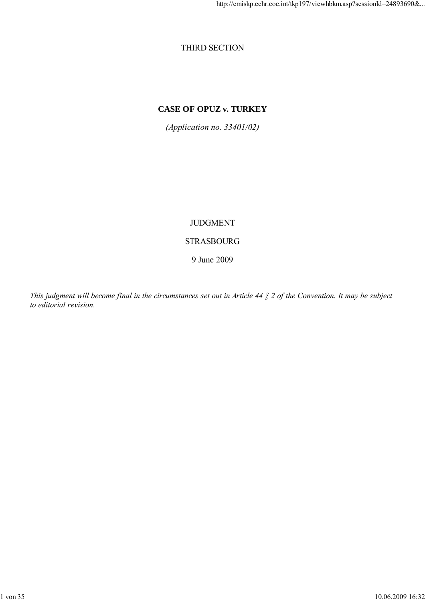## THIRD SECTION

# **CASE OF OPUZ v. TURKEY**

*(Application no. 33401/02)*

# JUDGMENT

# STRASBOURG

## 9 June 2009

*This judgment will become final in the circumstances set out in Article 44 § 2 of the Convention. It may be subject to editorial revision.*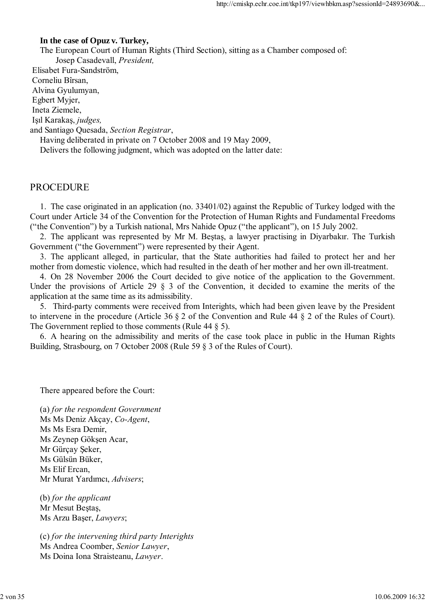### **In the case of Opuz v. Turkey,**

The European Court of Human Rights (Third Section), sitting as a Chamber composed of: Josep Casadevall, *President,* 

Elisabet Fura-Sandström,

Corneliu Bîrsan,

Alvina Gyulumyan,

Egbert Myjer,

Ineta Ziemele,

Işıl Karakaş, *judges,*

and Santiago Quesada, *Section Registrar*,

Having deliberated in private on 7 October 2008 and 19 May 2009, Delivers the following judgment, which was adopted on the latter date:

## **PROCEDURE**

1. The case originated in an application (no. 33401/02) against the Republic of Turkey lodged with the Court under Article 34 of the Convention for the Protection of Human Rights and Fundamental Freedoms ("the Convention") by a Turkish national, Mrs Nahide Opuz ("the applicant"), on 15 July 2002.

2. The applicant was represented by Mr M. Beştaş, a lawyer practising in Diyarbakır. The Turkish Government ("the Government") were represented by their Agent.

3. The applicant alleged, in particular, that the State authorities had failed to protect her and her mother from domestic violence, which had resulted in the death of her mother and her own ill-treatment.

4. On 28 November 2006 the Court decided to give notice of the application to the Government. Under the provisions of Article 29 § 3 of the Convention, it decided to examine the merits of the application at the same time as its admissibility.

5. Third-party comments were received from Interights, which had been given leave by the President to intervene in the procedure (Article 36 § 2 of the Convention and Rule 44 § 2 of the Rules of Court). The Government replied to those comments (Rule 44 § 5).

6. A hearing on the admissibility and merits of the case took place in public in the Human Rights Building, Strasbourg, on 7 October 2008 (Rule 59 § 3 of the Rules of Court).

There appeared before the Court:

(a) *for the respondent Government* Ms Ms Deniz Akçay, *Co-Agent*, Ms Ms Esra Demir, Ms Zeynep Gökşen Acar, Mr Gürçay Şeker, Ms Gülsün Büker, Ms Elif Ercan, Mr Murat Yardımcı, *Advisers*;

(b) *for the applicant* Mr Mesut Beştaş, Ms Arzu Başer, *Lawyers*;

(c) *for the intervening third party Interights* Ms Andrea Coomber, *Senior Lawyer*, Ms Doina Iona Straisteanu, *Lawyer*.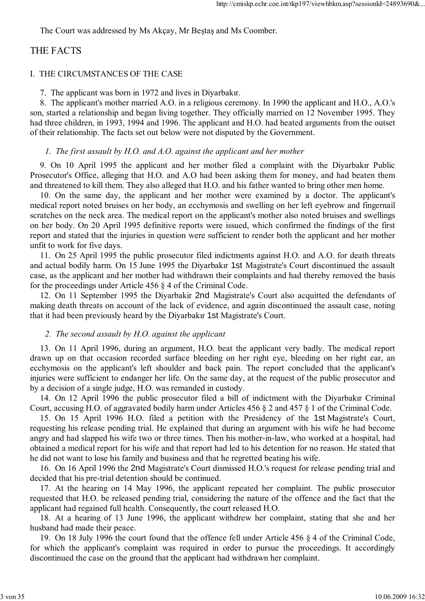The Court was addressed by Ms Akçay, Mr Beştaş and Ms Coomber.

# THE FACTS

## I. THE CIRCUMSTANCES OF THE CASE

7. The applicant was born in 1972 and lives in Diyarbakır.

8. The applicant's mother married A.O. in a religious ceremony. In 1990 the applicant and H.O., A.O.'s son, started a relationship and began living together. They officially married on 12 November 1995. They had three children, in 1993, 1994 and 1996. The applicant and H.O. had heated arguments from the outset of their relationship. The facts set out below were not disputed by the Government.

## *1. The first assault by H.O. and A.O. against the applicant and her mother*

9. On 10 April 1995 the applicant and her mother filed a complaint with the Diyarbakır Public Prosecutor's Office, alleging that H.O. and A.O had been asking them for money, and had beaten them and threatened to kill them. They also alleged that H.O. and his father wanted to bring other men home.

10. On the same day, the applicant and her mother were examined by a doctor. The applicant's medical report noted bruises on her body, an ecchymosis and swelling on her left eyebrow and fingernail scratches on the neck area. The medical report on the applicant's mother also noted bruises and swellings on her body. On 20 April 1995 definitive reports were issued, which confirmed the findings of the first report and stated that the injuries in question were sufficient to render both the applicant and her mother unfit to work for five days.

11. On 25 April 1995 the public prosecutor filed indictments against H.O. and A.O. for death threats and actual bodily harm. On 15 June 1995 the Diyarbakır 1st Magistrate's Court discontinued the assault case, as the applicant and her mother had withdrawn their complaints and had thereby removed the basis for the proceedings under Article 456 § 4 of the Criminal Code.

12. On 11 September 1995 the Diyarbakir 2nd Magistrate's Court also acquitted the defendants of making death threats on account of the lack of evidence, and again discontinued the assault case, noting that it had been previously heard by the Diyarbakır 1st Magistrate's Court.

### *2. The second assault by H.O. against the applicant*

13. On 11 April 1996, during an argument, H.O. beat the applicant very badly. The medical report drawn up on that occasion recorded surface bleeding on her right eye, bleeding on her right ear, an ecchymosis on the applicant's left shoulder and back pain. The report concluded that the applicant's injuries were sufficient to endanger her life. On the same day, at the request of the public prosecutor and by a decision of a single judge, H.O. was remanded in custody.

14. On 12 April 1996 the public prosecutor filed a bill of indictment with the Diyarbakır Criminal Court, accusing H.O. of aggravated bodily harm under Articles 456 § 2 and 457 § 1 of the Criminal Code.

15. On 15 April 1996 H.O. filed a petition with the Presidency of the 1st Magistrate's Court, requesting his release pending trial. He explained that during an argument with his wife he had become angry and had slapped his wife two or three times. Then his mother-in-law, who worked at a hospital, had obtained a medical report for his wife and that report had led to his detention for no reason. He stated that he did not want to lose his family and business and that he regretted beating his wife.

16. On 16 April 1996 the 2nd Magistrate's Court dismissed H.O.'s request for release pending trial and decided that his pre-trial detention should be continued.

17. At the hearing on 14 May 1996, the applicant repeated her complaint. The public prosecutor requested that H.O. be released pending trial, considering the nature of the offence and the fact that the applicant had regained full health. Consequently, the court released H.O.

18. At a hearing of 13 June 1996, the applicant withdrew her complaint, stating that she and her husband had made their peace.

19. On 18 July 1996 the court found that the offence fell under Article 456 § 4 of the Criminal Code, for which the applicant's complaint was required in order to pursue the proceedings. It accordingly discontinued the case on the ground that the applicant had withdrawn her complaint.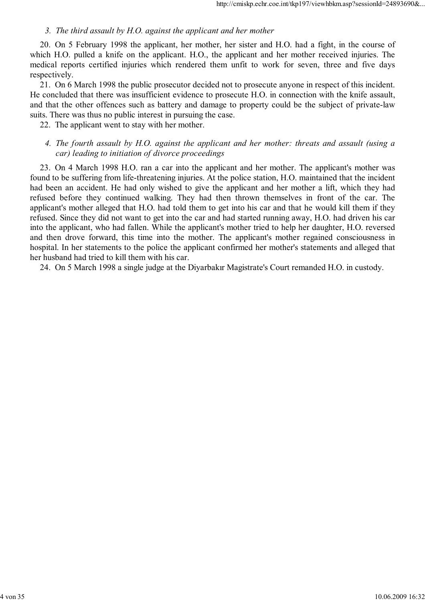## *3. The third assault by H.O. against the applicant and her mother*

20. On 5 February 1998 the applicant, her mother, her sister and H.O. had a fight, in the course of which H.O. pulled a knife on the applicant. H.O., the applicant and her mother received injuries. The medical reports certified injuries which rendered them unfit to work for seven, three and five days respectively.

21. On 6 March 1998 the public prosecutor decided not to prosecute anyone in respect of this incident. He concluded that there was insufficient evidence to prosecute H.O. in connection with the knife assault, and that the other offences such as battery and damage to property could be the subject of private-law suits. There was thus no public interest in pursuing the case.

22. The applicant went to stay with her mother.

## *4. The fourth assault by H.O. against the applicant and her mother: threats and assault (using a car) leading to initiation of divorce proceedings*

23.On 4 March 1998 H.O. ran a car into the applicant and her mother. The applicant's mother was found to be suffering from life-threatening injuries. At the police station, H.O. maintained that the incident had been an accident. He had only wished to give the applicant and her mother a lift, which they had refused before they continued walking. They had then thrown themselves in front of the car. The applicant's mother alleged that H.O. had told them to get into his car and that he would kill them if they refused. Since they did not want to get into the car and had started running away, H.O. had driven his car into the applicant, who had fallen. While the applicant's mother tried to help her daughter, H.O. reversed and then drove forward, this time into the mother. The applicant's mother regained consciousness in hospital. In her statements to the police the applicant confirmed her mother's statements and alleged that her husband had tried to kill them with his car.

24. On 5 March 1998 a single judge at the Diyarbakır Magistrate's Court remanded H.O. in custody.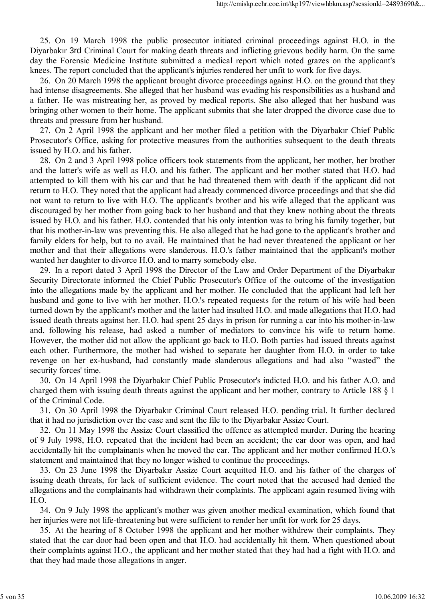25. On 19 March 1998 the public prosecutor initiated criminal proceedings against H.O. in the Diyarbakır 3rd Criminal Court for making death threats and inflicting grievous bodily harm. On the same day the Forensic Medicine Institute submitted a medical report which noted grazes on the applicant's knees. The report concluded that the applicant's injuries rendered her unfit to work for five days.

26. On 20 March 1998 the applicant brought divorce proceedings against H.O. on the ground that they had intense disagreements. She alleged that her husband was evading his responsibilities as a husband and a father. He was mistreating her, as proved by medical reports. She also alleged that her husband was bringing other women to their home. The applicant submits that she later dropped the divorce case due to threats and pressure from her husband.

27. On 2 April 1998 the applicant and her mother filed a petition with the Diyarbakır Chief Public Prosecutor's Office, asking for protective measures from the authorities subsequent to the death threats issued by H.O. and his father.

28. On 2 and 3 April 1998 police officers took statements from the applicant, her mother, her brother and the latter's wife as well as H.O. and his father. The applicant and her mother stated that H.O. had attempted to kill them with his car and that he had threatened them with death if the applicant did not return to H.O. They noted that the applicant had already commenced divorce proceedings and that she did not want to return to live with H.O. The applicant's brother and his wife alleged that the applicant was discouraged by her mother from going back to her husband and that they knew nothing about the threats issued by H.O. and his father. H.O. contended that his only intention was to bring his family together, but that his mother-in-law was preventing this. He also alleged that he had gone to the applicant's brother and family elders for help, but to no avail. He maintained that he had never threatened the applicant or her mother and that their allegations were slanderous. H.O.'s father maintained that the applicant's mother wanted her daughter to divorce H.O. and to marry somebody else.

29. In a report dated 3 April 1998 the Director of the Law and Order Department of the Diyarbakır Security Directorate informed the Chief Public Prosecutor's Office of the outcome of the investigation into the allegations made by the applicant and her mother. He concluded that the applicant had left her husband and gone to live with her mother. H.O.'s repeated requests for the return of his wife had been turned down by the applicant's mother and the latter had insulted H.O. and made allegations that H.O. had issued death threats against her. H.O. had spent 25 days in prison for running a car into his mother-in-law and, following his release, had asked a number of mediators to convince his wife to return home. However, the mother did not allow the applicant go back to H.O. Both parties had issued threats against each other. Furthermore, the mother had wished to separate her daughter from H.O. in order to take revenge on her ex-husband, had constantly made slanderous allegations and had also "wasted" the security forces' time.

30. On 14 April 1998 the Diyarbakır Chief Public Prosecutor's indicted H.O. and his father A.O. and charged them with issuing death threats against the applicant and her mother, contrary to Article 188 § 1 of the Criminal Code.

31. On 30 April 1998 the Diyarbakır Criminal Court released H.O. pending trial. It further declared that it had no jurisdiction over the case and sent the file to the Diyarbakır Assize Court.

32. On 11 May 1998 the Assize Court classified the offence as attempted murder. During the hearing of 9 July 1998, H.O. repeated that the incident had been an accident; the car door was open, and had accidentally hit the complainants when he moved the car. The applicant and her mother confirmed H.O.'s statement and maintained that they no longer wished to continue the proceedings.

33. On 23 June 1998 the Diyarbakır Assize Court acquitted H.O. and his father of the charges of issuing death threats, for lack of sufficient evidence. The court noted that the accused had denied the allegations and the complainants had withdrawn their complaints. The applicant again resumed living with H.O.

34. On 9 July 1998 the applicant's mother was given another medical examination, which found that her injuries were not life-threatening but were sufficient to render her unfit for work for 25 days.

35. At the hearing of 8 October 1998 the applicant and her mother withdrew their complaints. They stated that the car door had been open and that H.O. had accidentally hit them. When questioned about their complaints against H.O., the applicant and her mother stated that they had had a fight with H.O. and that they had made those allegations in anger.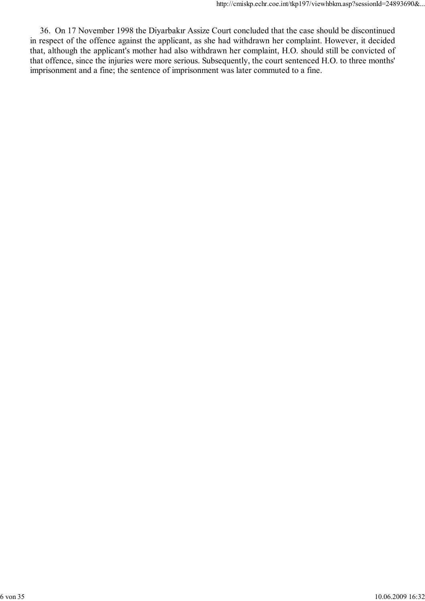36. On 17 November 1998 the Diyarbakır Assize Court concluded that the case should be discontinued in respect of the offence against the applicant, as she had withdrawn her complaint. However, it decided that, although the applicant's mother had also withdrawn her complaint, H.O. should still be convicted of that offence, since the injuries were more serious. Subsequently, the court sentenced H.O. to three months' imprisonment and a fine; the sentence of imprisonment was later commuted to a fine.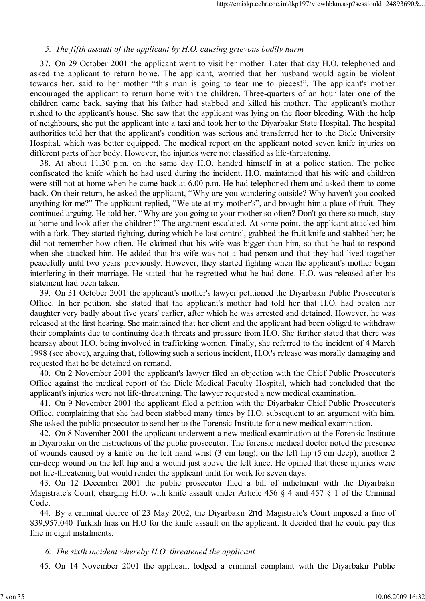## *5. The fifth assault of the applicant by H.O. causing grievous bodily harm*

37. On 29 October 2001 the applicant went to visit her mother. Later that day H.O. telephoned and asked the applicant to return home. The applicant, worried that her husband would again be violent towards her, said to her mother "this man is going to tear me to pieces!". The applicant's mother encouraged the applicant to return home with the children. Three-quarters of an hour later one of the children came back, saying that his father had stabbed and killed his mother. The applicant's mother rushed to the applicant's house. She saw that the applicant was lying on the floor bleeding. With the help of neighbours, she put the applicant into a taxi and took her to the Diyarbakır State Hospital. The hospital authorities told her that the applicant's condition was serious and transferred her to the Dicle University Hospital, which was better equipped. The medical report on the applicant noted seven knife injuries on different parts of her body. However, the injuries were not classified as life-threatening.

38. At about 11.30 p.m. on the same day H.O. handed himself in at a police station. The police confiscated the knife which he had used during the incident. H.O. maintained that his wife and children were still not at home when he came back at 6.00 p.m. He had telephoned them and asked them to come back. On their return, he asked the applicant, "Why are you wandering outside? Why haven't you cooked anything for me?" The applicant replied, "We ate at my mother's", and brought him a plate of fruit. They continued arguing. He told her, "Why are you going to your mother so often? Don't go there so much, stay at home and look after the children!" The argument escalated. At some point, the applicant attacked him with a fork. They started fighting, during which he lost control, grabbed the fruit knife and stabbed her; he did not remember how often. He claimed that his wife was bigger than him, so that he had to respond when she attacked him. He added that his wife was not a bad person and that they had lived together peacefully until two years' previously. However, they started fighting when the applicant's mother began interfering in their marriage. He stated that he regretted what he had done. H.O. was released after his statement had been taken.

39. On 31 October 2001 the applicant's mother's lawyer petitioned the Diyarbakır Public Prosecutor's Office. In her petition, she stated that the applicant's mother had told her that H.O. had beaten her daughter very badly about five years' earlier, after which he was arrested and detained. However, he was released at the first hearing. She maintained that her client and the applicant had been obliged to withdraw their complaints due to continuing death threats and pressure from H.O. She further stated that there was hearsay about H.O. being involved in trafficking women. Finally, she referred to the incident of 4 March 1998 (see above), arguing that, following such a serious incident, H.O.'s release was morally damaging and requested that he be detained on remand.

40. On 2 November 2001 the applicant's lawyer filed an objection with the Chief Public Prosecutor's Office against the medical report of the Dicle Medical Faculty Hospital, which had concluded that the applicant's injuries were not life-threatening. The lawyer requested a new medical examination.

41. On 9 November 2001 the applicant filed a petition with the Diyarbakır Chief Public Prosecutor's Office, complaining that she had been stabbed many times by H.O. subsequent to an argument with him. She asked the public prosecutor to send her to the Forensic Institute for a new medical examination.

42. On 8 November 2001 the applicant underwent a new medical examination at the Forensic Institute in Diyarbakır on the instructions of the public prosecutor. The forensic medical doctor noted the presence of wounds caused by a knife on the left hand wrist (3 cm long), on the left hip (5 cm deep), another 2 cm-deep wound on the left hip and a wound just above the left knee. He opined that these injuries were not life-threatening but would render the applicant unfit for work for seven days.

43. On 12 December 2001 the public prosecutor filed a bill of indictment with the Diyarbakır Magistrate's Court, charging H.O. with knife assault under Article 456 § 4 and 457 § 1 of the Criminal Code.

44. By a criminal decree of 23 May 2002, the Diyarbakır 2nd Magistrate's Court imposed a fine of 839,957,040 Turkish liras on H.O for the knife assault on the applicant. It decided that he could pay this fine in eight instalments.

### *6. The sixth incident whereby H.O. threatened the applicant*

45. On 14 November 2001 the applicant lodged a criminal complaint with the Diyarbakır Public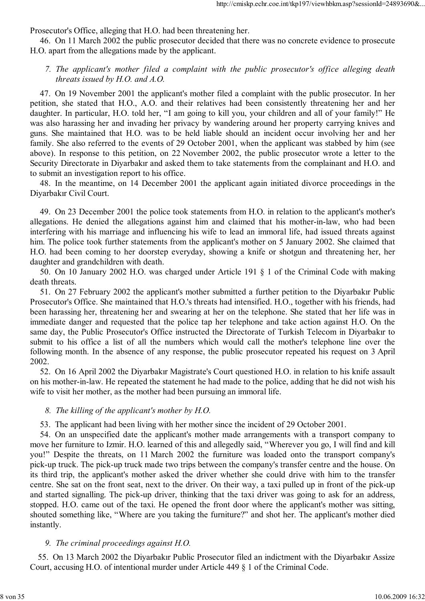Prosecutor's Office, alleging that H.O. had been threatening her.

46. On 11 March 2002 the public prosecutor decided that there was no concrete evidence to prosecute H.O. apart from the allegations made by the applicant.

## *7. The applicant's mother filed a complaint with the public prosecutor's office alleging death threats issued by H.O. and A.O.*

47. On 19 November 2001 the applicant's mother filed a complaint with the public prosecutor. In her petition, she stated that H.O., A.O. and their relatives had been consistently threatening her and her daughter. In particular, H.O. told her, "I am going to kill you, your children and all of your family!" He was also harassing her and invading her privacy by wandering around her property carrying knives and guns. She maintained that H.O. was to be held liable should an incident occur involving her and her family. She also referred to the events of 29 October 2001, when the applicant was stabbed by him (see above). In response to this petition, on 22 November 2002, the public prosecutor wrote a letter to the Security Directorate in Diyarbakır and asked them to take statements from the complainant and H.O. and to submit an investigation report to his office.

48. In the meantime, on 14 December 2001 the applicant again initiated divorce proceedings in the Diyarbakır Civil Court.

49. On 23 December 2001 the police took statements from H.O. in relation to the applicant's mother's allegations. He denied the allegations against him and claimed that his mother-in-law, who had been interfering with his marriage and influencing his wife to lead an immoral life, had issued threats against him. The police took further statements from the applicant's mother on 5 January 2002. She claimed that H.O. had been coming to her doorstep everyday, showing a knife or shotgun and threatening her, her daughter and grandchildren with death.

50. On 10 January 2002 H.O. was charged under Article 191 § 1 of the Criminal Code with making death threats.

51. On 27 February 2002 the applicant's mother submitted a further petition to the Diyarbakır Public Prosecutor's Office. She maintained that H.O.'s threats had intensified. H.O., together with his friends, had been harassing her, threatening her and swearing at her on the telephone. She stated that her life was in immediate danger and requested that the police tap her telephone and take action against H.O. On the same day, the Public Prosecutor's Office instructed the Directorate of Turkish Telecom in Diyarbakır to submit to his office a list of all the numbers which would call the mother's telephone line over the following month. In the absence of any response, the public prosecutor repeated his request on 3 April 2002.

52. On 16 April 2002 the Diyarbakır Magistrate's Court questioned H.O. in relation to his knife assault on his mother-in-law. He repeated the statement he had made to the police, adding that he did not wish his wife to visit her mother, as the mother had been pursuing an immoral life.

### *8. The killing of the applicant's mother by H.O.*

53. The applicant had been living with her mother since the incident of 29 October 2001.

54. On an unspecified date the applicant's mother made arrangements with a transport company to move her furniture to Izmir. H.O. learned of this and allegedly said, "Wherever you go, I will find and kill you!" Despite the threats, on 11 March 2002 the furniture was loaded onto the transport company's pick-up truck. The pick-up truck made two trips between the company's transfer centre and the house. On its third trip, the applicant's mother asked the driver whether she could drive with him to the transfer centre. She sat on the front seat, next to the driver. On their way, a taxi pulled up in front of the pick-up and started signalling. The pick-up driver, thinking that the taxi driver was going to ask for an address, stopped. H.O. came out of the taxi. He opened the front door where the applicant's mother was sitting, shouted something like, "Where are you taking the furniture?" and shot her. The applicant's mother died instantly.

## *9. The criminal proceedings against H.O.*

55. On 13 March 2002 the Diyarbakır Public Prosecutor filed an indictment with the Diyarbakır Assize Court, accusing H.O. of intentional murder under Article 449 § 1 of the Criminal Code.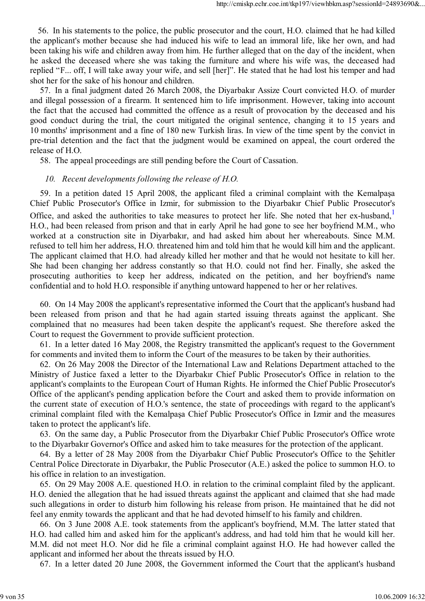56. In his statements to the police, the public prosecutor and the court, H.O. claimed that he had killed the applicant's mother because she had induced his wife to lead an immoral life, like her own, and had been taking his wife and children away from him. He further alleged that on the day of the incident, when he asked the deceased where she was taking the furniture and where his wife was, the deceased had replied "F... off, I will take away your wife, and sell [her]". He stated that he had lost his temper and had shot her for the sake of his honour and children.

57. In a final judgment dated 26 March 2008, the Diyarbakır Assize Court convicted H.O. of murder and illegal possession of a firearm. It sentenced him to life imprisonment. However, taking into account the fact that the accused had committed the offence as a result of provocation by the deceased and his good conduct during the trial, the court mitigated the original sentence, changing it to 15 years and 10 months' imprisonment and a fine of 180 new Turkish liras. In view of the time spent by the convict in pre-trial detention and the fact that the judgment would be examined on appeal, the court ordered the release of H.O.

58. The appeal proceedings are still pending before the Court of Cassation.

## *10. Recent developments following the release of H.O.*

59. In a petition dated 15 April 2008, the applicant filed a criminal complaint with the Kemalpaşa Chief Public Prosecutor's Office in Izmir, for submission to the Diyarbakır Chief Public Prosecutor's Office, and asked the authorities to take measures to protect her life. She noted that her ex-husband.<sup>1</sup> H.O., had been released from prison and that in early April he had gone to see her boyfriend M.M., who worked at a construction site in Diyarbakır, and had asked him about her whereabouts. Since M.M. refused to tell him her address, H.O. threatened him and told him that he would kill him and the applicant. The applicant claimed that H.O. had already killed her mother and that he would not hesitate to kill her. She had been changing her address constantly so that H.O. could not find her. Finally, she asked the prosecuting authorities to keep her address, indicated on the petition, and her boyfriend's name confidential and to hold H.O. responsible if anything untoward happened to her or her relatives.

60. On 14 May 2008 the applicant's representative informed the Court that the applicant's husband had been released from prison and that he had again started issuing threats against the applicant. She complained that no measures had been taken despite the applicant's request. She therefore asked the Court to request the Government to provide sufficient protection.

61. In a letter dated 16 May 2008, the Registry transmitted the applicant's request to the Government for comments and invited them to inform the Court of the measures to be taken by their authorities.

62. On 26 May 2008 the Director of the International Law and Relations Department attached to the Ministry of Justice faxed a letter to the Diyarbakır Chief Public Prosecutor's Office in relation to the applicant's complaints to the European Court of Human Rights. He informed the Chief Public Prosecutor's Office of the applicant's pending application before the Court and asked them to provide information on the current state of execution of H.O.'s sentence, the state of proceedings with regard to the applicant's criminal complaint filed with the Kemalpaşa Chief Public Prosecutor's Office in Izmir and the measures taken to protect the applicant's life.

63. On the same day, a Public Prosecutor from the Diyarbakır Chief Public Prosecutor's Office wrote to the Diyarbakır Governor's Office and asked him to take measures for the protection of the applicant.

64. By a letter of 28 May 2008 from the Diyarbakır Chief Public Prosecutor's Office to the Şehitler Central Police Directorate in Diyarbakır, the Public Prosecutor (A.E.) asked the police to summon H.O. to his office in relation to an investigation.

65. On 29 May 2008 A.E. questioned H.O. in relation to the criminal complaint filed by the applicant. H.O. denied the allegation that he had issued threats against the applicant and claimed that she had made such allegations in order to disturb him following his release from prison. He maintained that he did not feel any enmity towards the applicant and that he had devoted himself to his family and children.

66. On 3 June 2008 A.E. took statements from the applicant's boyfriend, M.M. The latter stated that H.O. had called him and asked him for the applicant's address, and had told him that he would kill her. M.M. did not meet H.O. Nor did he file a criminal complaint against H.O. He had however called the applicant and informed her about the threats issued by H.O.

67. In a letter dated 20 June 2008, the Government informed the Court that the applicant's husband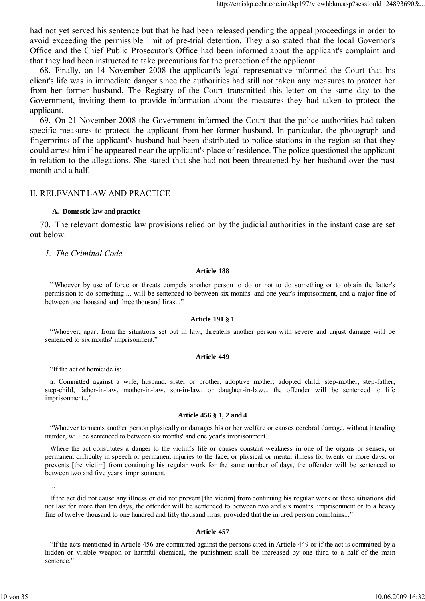had not yet served his sentence but that he had been released pending the appeal proceedings in order to avoid exceeding the permissible limit of pre-trial detention. They also stated that the local Governor's Office and the Chief Public Prosecutor's Office had been informed about the applicant's complaint and that they had been instructed to take precautions for the protection of the applicant.

68. Finally, on 14 November 2008 the applicant's legal representative informed the Court that his client's life was in immediate danger since the authorities had still not taken any measures to protect her from her former husband. The Registry of the Court transmitted this letter on the same day to the Government, inviting them to provide information about the measures they had taken to protect the applicant.

69. On 21 November 2008 the Government informed the Court that the police authorities had taken specific measures to protect the applicant from her former husband. In particular, the photograph and fingerprints of the applicant's husband had been distributed to police stations in the region so that they could arrest him if he appeared near the applicant's place of residence. The police questioned the applicant in relation to the allegations. She stated that she had not been threatened by her husband over the past month and a half.

### II. RELEVANT LAW AND PRACTICE

#### **A. Domestic law and practice**

70. The relevant domestic law provisions relied on by the judicial authorities in the instant case are set out below.

### *1. The Criminal Code*

#### **Article 188**

"Whoever by use of force or threats compels another person to do or not to do something or to obtain the latter's permission to do something ... will be sentenced to between six months' and one year's imprisonment, and a major fine of between one thousand and three thousand liras..."

#### **Article 191 § 1**

"Whoever, apart from the situations set out in law, threatens another person with severe and unjust damage will be sentenced to six months' imprisonment."

#### **Article 449**

"If the act of homicide is:

...

a. Committed against a wife, husband, sister or brother, adoptive mother, adopted child, step-mother, step-father, step-child, father-in-law, mother-in-law, son-in-law, or daughter-in-law... the offender will be sentenced to life imprisonment..."

#### **Article 456 § 1, 2 and 4**

"Whoever torments another person physically or damages his or her welfare or causes cerebral damage, without intending murder, will be sentenced to between six months' and one year's imprisonment.

Where the act constitutes a danger to the victim's life or causes constant weakness in one of the organs or senses, or permanent difficulty in speech or permanent injuries to the face, or physical or mental illness for twenty or more days, or prevents [the victim] from continuing his regular work for the same number of days, the offender will be sentenced to between two and five years' imprisonment.

If the act did not cause any illness or did not prevent [the victim] from continuing his regular work or these situations did not last for more than ten days, the offender will be sentenced to between two and six months' imprisonment or to a heavy fine of twelve thousand to one hundred and fifty thousand liras, provided that the injured person complains..."

#### **Article 457**

"If the acts mentioned in Article 456 are committed against the persons cited in Article 449 or if the act is committed by a hidden or visible weapon or harmful chemical, the punishment shall be increased by one third to a half of the main sentence."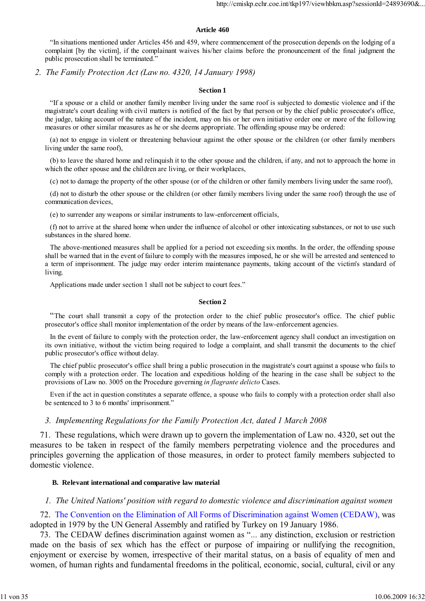#### **Article 460**

"In situations mentioned under Articles 456 and 459, where commencement of the prosecution depends on the lodging of a complaint [by the victim], if the complainant waives his/her claims before the pronouncement of the final judgment the public prosecution shall be terminated."

### *2. The Family Protection Act (Law no. 4320, 14 January 1998)*

#### **Section 1**

"If a spouse or a child or another family member living under the same roof is subjected to domestic violence and if the magistrate's court dealing with civil matters is notified of the fact by that person or by the chief public prosecutor's office, the judge, taking account of the nature of the incident, may on his or her own initiative order one or more of the following measures or other similar measures as he or she deems appropriate. The offending spouse may be ordered:

(a) not to engage in violent or threatening behaviour against the other spouse or the children (or other family members living under the same roof),

(b) to leave the shared home and relinquish it to the other spouse and the children, if any, and not to approach the home in which the other spouse and the children are living, or their workplaces,

(c) not to damage the property of the other spouse (or of the children or other family members living under the same roof),

(d) not to disturb the other spouse or the children (or other family members living under the same roof) through the use of communication devices,

(e) to surrender any weapons or similar instruments to law-enforcement officials,

(f) not to arrive at the shared home when under the influence of alcohol or other intoxicating substances, or not to use such substances in the shared home.

The above-mentioned measures shall be applied for a period not exceeding six months. In the order, the offending spouse shall be warned that in the event of failure to comply with the measures imposed, he or she will be arrested and sentenced to a term of imprisonment. The judge may order interim maintenance payments, taking account of the victim's standard of living.

Applications made under section 1 shall not be subject to court fees."

#### **Section 2**

"The court shall transmit a copy of the protection order to the chief public prosecutor's office. The chief public prosecutor's office shall monitor implementation of the order by means of the law-enforcement agencies.

In the event of failure to comply with the protection order, the law-enforcement agency shall conduct an investigation on its own initiative, without the victim being required to lodge a complaint, and shall transmit the documents to the chief public prosecutor's office without delay.

The chief public prosecutor's office shall bring a public prosecution in the magistrate's court against a spouse who fails to comply with a protection order. The location and expeditious holding of the hearing in the case shall be subject to the provisions of Law no. 3005 on the Procedure governing *in flagrante delicto* Cases.

Even if the act in question constitutes a separate offence, a spouse who fails to comply with a protection order shall also be sentenced to 3 to 6 months' imprisonment."

#### *3. Implementing Regulations for the Family Protection Act, dated 1 March 2008*

71. These regulations, which were drawn up to govern the implementation of Law no. 4320, set out the measures to be taken in respect of the family members perpetrating violence and the procedures and principles governing the application of those measures, in order to protect family members subjected to domestic violence.

#### **B. Relevant international and comparative law material**

#### *1. The United Nations' position with regard to domestic violence and discrimination against women*

72. The Convention on the Elimination of All Forms of Discrimination against Women (CEDAW), was adopted in 1979 by the UN General Assembly and ratified by Turkey on 19 January 1986.

73. The CEDAW defines discrimination against women as "*...* any distinction, exclusion or restriction made on the basis of sex which has the effect or purpose of impairing or nullifying the recognition, enjoyment or exercise by women, irrespective of their marital status, on a basis of equality of men and women, of human rights and fundamental freedoms in the political, economic, social, cultural, civil or any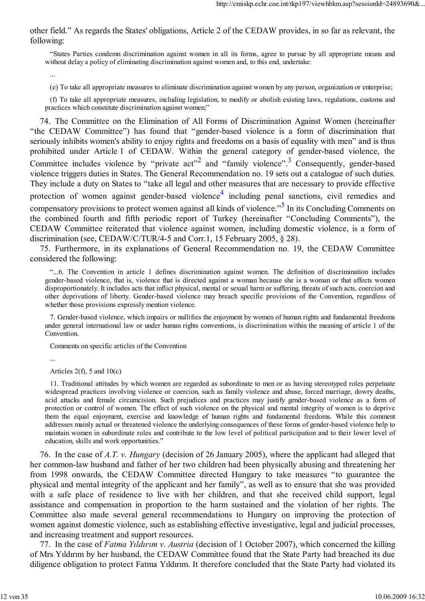other field." As regards the States' obligations, Article 2 of the CEDAW provides, in so far as relevant, the following:

"States Parties condemn discrimination against women in all its forms, agree to pursue by all appropriate means and without delay a policy of eliminating discrimination against women and, to this end, undertake:

...

(e) To take all appropriate measures to eliminate discrimination against women by any person, organization or enterprise;

(f) To take all appropriate measures, including legislation, to modify or abolish existing laws, regulations, customs and practices which constitute discrimination against women;"

74. The Committee on the Elimination of All Forms of Discrimination Against Women (hereinafter "the CEDAW Committee") has found that "gender-based violence is a form of discrimination that seriously inhibits women's ability to enjoy rights and freedoms on a basis of equality with men" and is thus prohibited under Article 1 of CEDAW. Within the general category of gender-based violence, the Committee includes violence by "private act"<sup>2</sup> and "family violence".<sup>3</sup> Consequently, gender-based violence triggers duties in States. The General Recommendation no. 19 sets out a catalogue of such duties. They include a duty on States to "take all legal and other measures that are necessary to provide effective protection of women against gender-based violence<sup>4</sup> including penal sanctions, civil remedies and compensatory provisions to protect women against all kinds of violence."<sup>5</sup> In its Concluding Comments on the combined fourth and fifth periodic report of Turkey (hereinafter "Concluding Comments"), the CEDAW Committee reiterated that violence against women, including domestic violence, is a form of discrimination (see, CEDAW/C/TUR/4-5 and Corr.1, 15 February 2005, § 28).

75. Furthermore, in its explanations of General Recommendation no. 19, the CEDAW Committee considered the following:

"...6. The Convention in article 1 defines discrimination against women. The definition of discrimination includes gender-based violence, that is, violence that is directed against a woman because she is a woman or that affects women disproportionately. It includes acts that inflict physical, mental or sexual harm or suffering, threats of such acts, coercion and other deprivations of liberty. Gender-based violence may breach specific provisions of the Convention, regardless of whether those provisions expressly mention violence.

7. Gender-based violence, which impairs or nullifies the enjoyment by women of human rights and fundamental freedoms under general international law or under human rights conventions, is discrimination within the meaning of article 1 of the Convention.

Comments on specific articles of the Convention

...

Articles  $2(f)$ , 5 and  $10(c)$ 

11. Traditional attitudes by which women are regarded as subordinate to men or as having stereotyped roles perpetuate widespread practices involving violence or coercion, such as family violence and abuse, forced marriage, dowry deaths, acid attacks and female circumcision. Such prejudices and practices may justify gender-based violence as a form of protection or control of women. The effect of such violence on the physical and mental integrity of women is to deprive them the equal enjoyment, exercise and knowledge of human rights and fundamental freedoms. While this comment addresses mainly actual or threatened violence the underlying consequences of these forms of gender-based violence help to maintain women in subordinate roles and contribute to the low level of political participation and to their lower level of education, skills and work opportunities."

76. In the case of *A.T. v. Hungary* (decision of 26 January 2005), where the applicant had alleged that her common-law husband and father of her two children had been physically abusing and threatening her from 1998 onwards, the CEDAW Committee directed Hungary to take measures "to guarantee the physical and mental integrity of the applicant and her family", as well as to ensure that she was provided with a safe place of residence to live with her children, and that she received child support, legal assistance and compensation in proportion to the harm sustained and the violation of her rights. The Committee also made several general recommendations to Hungary on improving the protection of women against domestic violence, such as establishing effective investigative, legal and judicial processes, and increasing treatment and support resources.

77. In the case of *Fatma Yıldırım v. Austria* (decision of 1 October 2007), which concerned the killing of Mrs Yıldırım by her husband, the CEDAW Committee found that the State Party had breached its due diligence obligation to protect Fatma Yıldırım. It therefore concluded that the State Party had violated its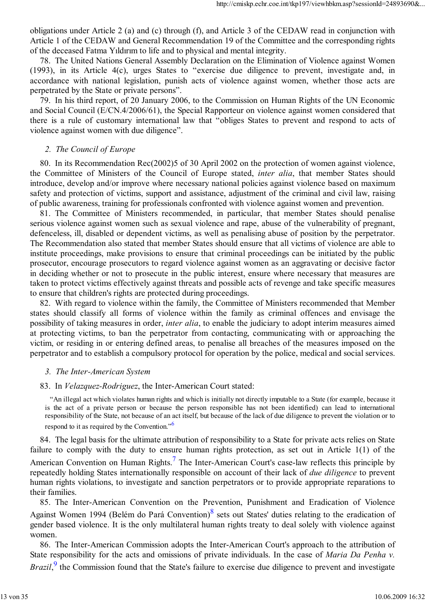obligations under Article 2 (a) and (c) through (f), and Article 3 of the CEDAW read in conjunction with Article 1 of the CEDAW and General Recommendation 19 of the Committee and the corresponding rights of the deceased Fatma Yıldırım to life and to physical and mental integrity.

78. The United Nations General Assembly Declaration on the Elimination of Violence against Women (1993), in its Article 4(c), urges States to "exercise due diligence to prevent, investigate and, in accordance with national legislation, punish acts of violence against women, whether those acts are perpetrated by the State or private persons".

79. In his third report, of 20 January 2006, to the Commission on Human Rights of the UN Economic and Social Council (E/CN.4/2006/61), the Special Rapporteur on violence against women considered that there is a rule of customary international law that "obliges States to prevent and respond to acts of violence against women with due diligence".

### *2. The Council of Europe*

80. In its Recommendation Rec(2002)5 of 30 April 2002 on the protection of women against violence, the Committee of Ministers of the Council of Europe stated, *inter alia*, that member States should introduce, develop and/or improve where necessary national policies against violence based on maximum safety and protection of victims, support and assistance, adjustment of the criminal and civil law, raising of public awareness, training for professionals confronted with violence against women and prevention.

81. The Committee of Ministers recommended, in particular, that member States should penalise serious violence against women such as sexual violence and rape, abuse of the vulnerability of pregnant, defenceless, ill, disabled or dependent victims, as well as penalising abuse of position by the perpetrator. The Recommendation also stated that member States should ensure that all victims of violence are able to institute proceedings, make provisions to ensure that criminal proceedings can be initiated by the public prosecutor, encourage prosecutors to regard violence against women as an aggravating or decisive factor in deciding whether or not to prosecute in the public interest, ensure where necessary that measures are taken to protect victims effectively against threats and possible acts of revenge and take specific measures to ensure that children's rights are protected during proceedings.

82. With regard to violence within the family, the Committee of Ministers recommended that Member states should classify all forms of violence within the family as criminal offences and envisage the possibility of taking measures in order, *inter alia*, to enable the judiciary to adopt interim measures aimed at protecting victims, to ban the perpetrator from contacting, communicating with or approaching the victim, or residing in or entering defined areas, to penalise all breaches of the measures imposed on the perpetrator and to establish a compulsory protocol for operation by the police, medical and social services.

## *3. The Inter-American System*

83. In *Velazquez-Rodriguez*, the Inter-American Court stated:

"An illegal act which violates human rights and which is initially not directly imputable to a State (for example, because it is the act of a private person or because the person responsible has not been identified) can lead to international responsibility of the State, not because of an act itself, but because of the lack of due diligence to prevent the violation or to respond to it as required by the Convention."<sup>6</sup>

84. The legal basis for the ultimate attribution of responsibility to a State for private acts relies on State failure to comply with the duty to ensure human rights protection, as set out in Article 1(1) of the American Convention on Human Rights.<sup>7</sup> The Inter-American Court's case-law reflects this principle by repeatedly holding States internationally responsible on account of their lack of *due diligence* to prevent human rights violations, to investigate and sanction perpetrators or to provide appropriate reparations to their families.

85. The Inter-American Convention on the Prevention, Punishment and Eradication of Violence Against Women 1994 (Belém do Pará Convention)<sup>8</sup> sets out States' duties relating to the eradication of gender based violence. It is the only multilateral human rights treaty to deal solely with violence against women.

86. The Inter-American Commission adopts the Inter-American Court's approach to the attribution of State responsibility for the acts and omissions of private individuals. In the case of *Maria Da Penha v. Brazil*, <sup>9</sup> the Commission found that the State's failure to exercise due diligence to prevent and investigate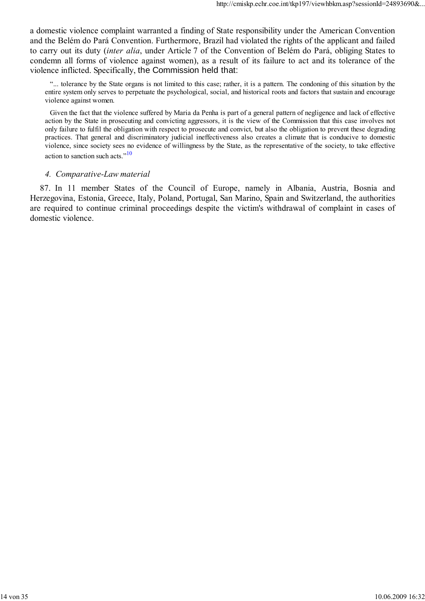a domestic violence complaint warranted a finding of State responsibility under the American Convention and the Belém do Pará Convention. Furthermore, Brazil had violated the rights of the applicant and failed to carry out its duty (*inter alia*, under Article 7 of the Convention of Belém do Pará, obliging States to condemn all forms of violence against women), as a result of its failure to act and its tolerance of the violence inflicted. Specifically, the Commission held that:

"... tolerance by the State organs is not limited to this case; rather, it is a pattern. The condoning of this situation by the entire system only serves to perpetuate the psychological, social, and historical roots and factors that sustain and encourage violence against women.

Given the fact that the violence suffered by Maria da Penha is part of a general pattern of negligence and lack of effective action by the State in prosecuting and convicting aggressors, it is the view of the Commission that this case involves not only failure to fulfil the obligation with respect to prosecute and convict, but also the obligation to prevent these degrading practices. That general and discriminatory judicial ineffectiveness also creates a climate that is conducive to domestic violence, since society sees no evidence of willingness by the State, as the representative of the society, to take effective action to sanction such acts." $10$ 

### *4. Comparative-Law material*

87. In 11 member States of the Council of Europe, namely in Albania, Austria, Bosnia and Herzegovina, Estonia, Greece, Italy, Poland, Portugal, San Marino, Spain and Switzerland, the authorities are required to continue criminal proceedings despite the victim's withdrawal of complaint in cases of domestic violence.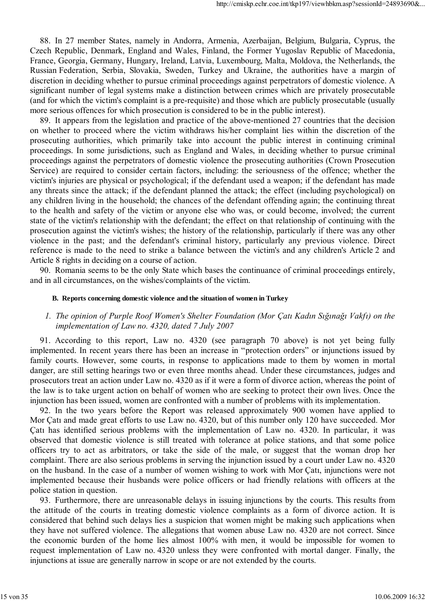88. In 27 member States, namely in Andorra, Armenia, Azerbaijan, Belgium, Bulgaria, Cyprus, the Czech Republic, Denmark, England and Wales, Finland, the Former Yugoslav Republic of Macedonia, France, Georgia, Germany, Hungary, Ireland, Latvia, Luxembourg, Malta, Moldova, the Netherlands, the Russian Federation, Serbia, Slovakia, Sweden, Turkey and Ukraine, the authorities have a margin of discretion in deciding whether to pursue criminal proceedings against perpetrators of domestic violence. A significant number of legal systems make a distinction between crimes which are privately prosecutable (and for which the victim's complaint is a pre-requisite) and those which are publicly prosecutable (usually more serious offences for which prosecution is considered to be in the public interest).

89. It appears from the legislation and practice of the above-mentioned 27 countries that the decision on whether to proceed where the victim withdraws his/her complaint lies within the discretion of the prosecuting authorities, which primarily take into account the public interest in continuing criminal proceedings. In some jurisdictions, such as England and Wales, in deciding whether to pursue criminal proceedings against the perpetrators of domestic violence the prosecuting authorities (Crown Prosecution Service) are required to consider certain factors, including: the seriousness of the offence; whether the victim's injuries are physical or psychological; if the defendant used a weapon; if the defendant has made any threats since the attack; if the defendant planned the attack; the effect (including psychological) on any children living in the household; the chances of the defendant offending again; the continuing threat to the health and safety of the victim or anyone else who was, or could become, involved; the current state of the victim's relationship with the defendant; the effect on that relationship of continuing with the prosecution against the victim's wishes; the history of the relationship, particularly if there was any other violence in the past; and the defendant's criminal history, particularly any previous violence. Direct reference is made to the need to strike a balance between the victim's and any children's Article 2 and Article 8 rights in deciding on a course of action.

90. Romania seems to be the only State which bases the continuance of criminal proceedings entirely, and in all circumstances, on the wishes/complaints of the victim.

#### **B. Reports concerning domestic violence and the situation of women in Turkey**

## *1. The opinion of Purple Roof Women's Shelter Foundation (Mor Çatı Kadın Sığınağı Vakfı) on the implementation of Law no. 4320, dated 7 July 2007*

91. According to this report, Law no. 4320 (see paragraph 70 above) is not yet being fully implemented. In recent years there has been an increase in "protection orders" or injunctions issued by family courts. However, some courts, in response to applications made to them by women in mortal danger, are still setting hearings two or even three months ahead. Under these circumstances, judges and prosecutors treat an action under Law no. 4320 as if it were a form of divorce action, whereas the point of the law is to take urgent action on behalf of women who are seeking to protect their own lives. Once the injunction has been issued, women are confronted with a number of problems with its implementation.

92. In the two years before the Report was released approximately 900 women have applied to Mor Çatı and made great efforts to use Law no. 4320, but of this number only 120 have succeeded. Mor Çatı has identified serious problems with the implementation of Law no. 4320. In particular, it was observed that domestic violence is still treated with tolerance at police stations, and that some police officers try to act as arbitrators, or take the side of the male, or suggest that the woman drop her complaint. There are also serious problems in serving the injunction issued by a court under Law no. 4320 on the husband. In the case of a number of women wishing to work with Mor Çatı, injunctions were not implemented because their husbands were police officers or had friendly relations with officers at the police station in question.

93. Furthermore, there are unreasonable delays in issuing injunctions by the courts. This results from the attitude of the courts in treating domestic violence complaints as a form of divorce action. It is considered that behind such delays lies a suspicion that women might be making such applications when they have not suffered violence. The allegations that women abuse Law no. 4320 are not correct. Since the economic burden of the home lies almost 100% with men, it would be impossible for women to request implementation of Law no. 4320 unless they were confronted with mortal danger. Finally, the injunctions at issue are generally narrow in scope or are not extended by the courts.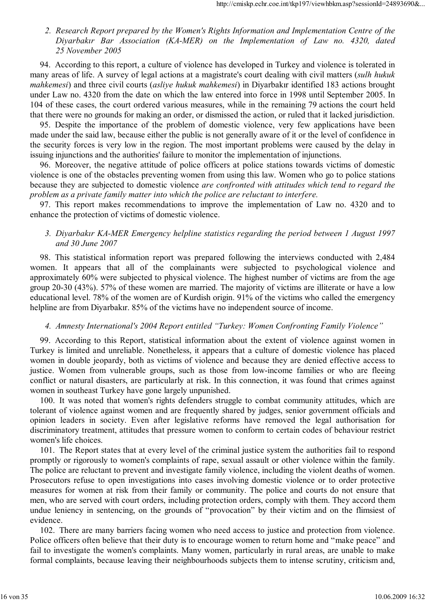*2. Research Report prepared by the Women's Rights Information and Implementation Centre of the Diyarbakır Bar Association (KA-MER) on the Implementation of Law no. 4320, dated 25 November 2005*

94. According to this report, a culture of violence has developed in Turkey and violence is tolerated in many areas of life. A survey of legal actions at a magistrate's court dealing with civil matters (*sulh hukuk mahkemesi*) and three civil courts (*asliye hukuk mahkemesi*) in Diyarbakır identified 183 actions brought under Law no. 4320 from the date on which the law entered into force in 1998 until September 2005. In 104 of these cases, the court ordered various measures, while in the remaining 79 actions the court held that there were no grounds for making an order, or dismissed the action, or ruled that it lacked jurisdiction.

95. Despite the importance of the problem of domestic violence, very few applications have been made under the said law, because either the public is not generally aware of it or the level of confidence in the security forces is very low in the region. The most important problems were caused by the delay in issuing injunctions and the authorities' failure to monitor the implementation of injunctions.

96. Moreover, the negative attitude of police officers at police stations towards victims of domestic violence is one of the obstacles preventing women from using this law. Women who go to police stations because they are subjected to domestic violence *are confronted with attitudes which tend to regard the problem as a private family matter into which the police are reluctant to interfere.*

97. This report makes recommendations to improve the implementation of Law no. 4320 and to enhance the protection of victims of domestic violence.

## *3. Diyarbakır KA-MER Emergency helpline statistics regarding the period between 1 August 1997 and 30 June 2007*

98. This statistical information report was prepared following the interviews conducted with 2,484 women. It appears that all of the complainants were subjected to psychological violence and approximately 60% were subjected to physical violence. The highest number of victims are from the age group 20-30 (43%). 57% of these women are married. The majority of victims are illiterate or have a low educational level. 78% of the women are of Kurdish origin. 91% of the victims who called the emergency helpline are from Diyarbakır. 85% of the victims have no independent source of income.

### *4. Amnesty International's 2004 Report entitled "Turkey: Women Confronting Family Violence"*

99. According to this Report, statistical information about the extent of violence against women in Turkey is limited and unreliable. Nonetheless, it appears that a culture of domestic violence has placed women in double jeopardy, both as victims of violence and because they are denied effective access to justice. Women from vulnerable groups, such as those from low-income families or who are fleeing conflict or natural disasters, are particularly at risk. In this connection, it was found that crimes against women in southeast Turkey have gone largely unpunished.

100. It was noted that women's rights defenders struggle to combat community attitudes, which are tolerant of violence against women and are frequently shared by judges, senior government officials and opinion leaders in society. Even after legislative reforms have removed the legal authorisation for discriminatory treatment, attitudes that pressure women to conform to certain codes of behaviour restrict women's life choices.

101. The Report states that at every level of the criminal justice system the authorities fail to respond promptly or rigorously to women's complaints of rape, sexual assault or other violence within the family. The police are reluctant to prevent and investigate family violence, including the violent deaths of women. Prosecutors refuse to open investigations into cases involving domestic violence or to order protective measures for women at risk from their family or community. The police and courts do not ensure that men, who are served with court orders, including protection orders, comply with them. They accord them undue leniency in sentencing, on the grounds of "provocation" by their victim and on the flimsiest of evidence.

102. There are many barriers facing women who need access to justice and protection from violence. Police officers often believe that their duty is to encourage women to return home and "make peace" and fail to investigate the women's complaints. Many women, particularly in rural areas, are unable to make formal complaints, because leaving their neighbourhoods subjects them to intense scrutiny, criticism and,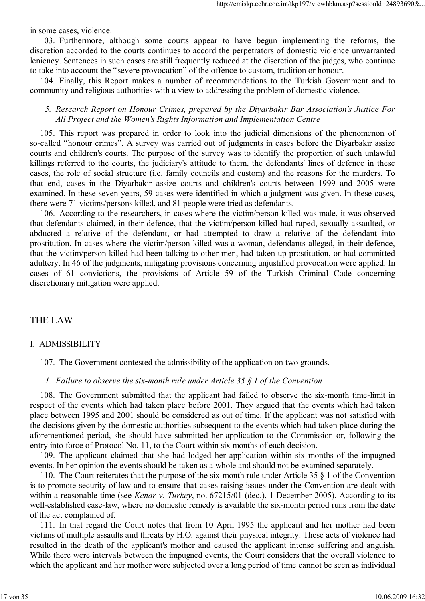in some cases, violence.

103. Furthermore, although some courts appear to have begun implementing the reforms, the discretion accorded to the courts continues to accord the perpetrators of domestic violence unwarranted leniency. Sentences in such cases are still frequently reduced at the discretion of the judges, who continue to take into account the "severe provocation" of the offence to custom, tradition or honour.

104. Finally, this Report makes a number of recommendations to the Turkish Government and to community and religious authorities with a view to addressing the problem of domestic violence.

## *5. Research Report on Honour Crimes, prepared by the Diyarbakır Bar Association's Justice For All Project and the Women's Rights Information and Implementation Centre*

105. This report was prepared in order to look into the judicial dimensions of the phenomenon of so-called "honour crimes". A survey was carried out of judgments in cases before the Diyarbakır assize courts and children's courts. The purpose of the survey was to identify the proportion of such unlawful killings referred to the courts, the judiciary's attitude to them, the defendants' lines of defence in these cases, the role of social structure (i.e. family councils and custom) and the reasons for the murders. To that end, cases in the Diyarbakır assize courts and children's courts between 1999 and 2005 were examined. In these seven years, 59 cases were identified in which a judgment was given. In these cases, there were 71 victims/persons killed, and 81 people were tried as defendants.

106. According to the researchers, in cases where the victim/person killed was male, it was observed that defendants claimed, in their defence, that the victim/person killed had raped, sexually assaulted, or abducted a relative of the defendant, or had attempted to draw a relative of the defendant into prostitution. In cases where the victim/person killed was a woman, defendants alleged, in their defence, that the victim/person killed had been talking to other men, had taken up prostitution, or had committed adultery. In 46 of the judgments, mitigating provisions concerning unjustified provocation were applied. In cases of 61 convictions, the provisions of Article 59 of the Turkish Criminal Code concerning discretionary mitigation were applied.

# THE LAW

### I. ADMISSIBILITY

107. The Government contested the admissibility of the application on two grounds.

### *1. Failure to observe the six-month rule under Article 35 § 1 of the Convention*

108. The Government submitted that the applicant had failed to observe the six-month time-limit in respect of the events which had taken place before 2001. They argued that the events which had taken place between 1995 and 2001 should be considered as out of time. If the applicant was not satisfied with the decisions given by the domestic authorities subsequent to the events which had taken place during the aforementioned period, she should have submitted her application to the Commission or, following the entry into force of Protocol No. 11, to the Court within six months of each decision.

109. The applicant claimed that she had lodged her application within six months of the impugned events. In her opinion the events should be taken as a whole and should not be examined separately.

110. The Court reiterates that the purpose of the six-month rule under Article 35 § 1 of the Convention is to promote security of law and to ensure that cases raising issues under the Convention are dealt with within a reasonable time (see *Kenar v. Turkey*, no. 67215/01 (dec.), 1 December 2005). According to its well-established case-law, where no domestic remedy is available the six-month period runs from the date of the act complained of.

111. In that regard the Court notes that from 10 April 1995 the applicant and her mother had been victims of multiple assaults and threats by H.O. against their physical integrity. These acts of violence had resulted in the death of the applicant's mother and caused the applicant intense suffering and anguish. While there were intervals between the impugned events, the Court considers that the overall violence to which the applicant and her mother were subjected over a long period of time cannot be seen as individual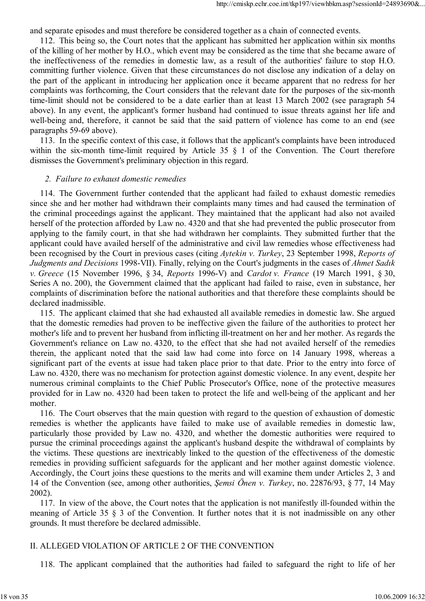and separate episodes and must therefore be considered together as a chain of connected events.

112. This being so, the Court notes that the applicant has submitted her application within six months of the killing of her mother by H.O., which event may be considered as the time that she became aware of the ineffectiveness of the remedies in domestic law, as a result of the authorities' failure to stop H.O. committing further violence. Given that these circumstances do not disclose any indication of a delay on the part of the applicant in introducing her application once it became apparent that no redress for her complaints was forthcoming, the Court considers that the relevant date for the purposes of the six-month time-limit should not be considered to be a date earlier than at least 13 March 2002 (see paragraph 54 above). In any event, the applicant's former husband had continued to issue threats against her life and well-being and, therefore, it cannot be said that the said pattern of violence has come to an end (see paragraphs 59-69 above).

113. In the specific context of this case, it follows that the applicant's complaints have been introduced within the six-month time-limit required by Article 35 § 1 of the Convention. The Court therefore dismisses the Government's preliminary objection in this regard.

### *2. Failure to exhaust domestic remedies*

114. The Government further contended that the applicant had failed to exhaust domestic remedies since she and her mother had withdrawn their complaints many times and had caused the termination of the criminal proceedings against the applicant. They maintained that the applicant had also not availed herself of the protection afforded by Law no. 4320 and that she had prevented the public prosecutor from applying to the family court, in that she had withdrawn her complaints. They submitted further that the applicant could have availed herself of the administrative and civil law remedies whose effectiveness had been recognised by the Court in previous cases (citing *Aytekin v. Turkey*, 23 September 1998, *Reports of Judgments and Decisions* 1998-VII). Finally, relying on the Court's judgments in the cases of *Ahmet Sadık v. Greece* (15 November 1996, § 34, *Reports* 1996-V) and *Cardot v. France* (19 March 1991, § 30, Series A no. 200), the Government claimed that the applicant had failed to raise, even in substance, her complaints of discrimination before the national authorities and that therefore these complaints should be declared inadmissible.

115. The applicant claimed that she had exhausted all available remedies in domestic law. She argued that the domestic remedies had proven to be ineffective given the failure of the authorities to protect her mother's life and to prevent her husband from inflicting ill-treatment on her and her mother. As regards the Government's reliance on Law no. 4320, to the effect that she had not availed herself of the remedies therein, the applicant noted that the said law had come into force on 14 January 1998, whereas a significant part of the events at issue had taken place prior to that date. Prior to the entry into force of Law no. 4320, there was no mechanism for protection against domestic violence. In any event, despite her numerous criminal complaints to the Chief Public Prosecutor's Office, none of the protective measures provided for in Law no. 4320 had been taken to protect the life and well-being of the applicant and her mother.

116. The Court observes that the main question with regard to the question of exhaustion of domestic remedies is whether the applicants have failed to make use of available remedies in domestic law, particularly those provided by Law no. 4320, and whether the domestic authorities were required to pursue the criminal proceedings against the applicant's husband despite the withdrawal of complaints by the victims. These questions are inextricably linked to the question of the effectiveness of the domestic remedies in providing sufficient safeguards for the applicant and her mother against domestic violence. Accordingly, the Court joins these questions to the merits and will examine them under Articles 2, 3 and 14 of the Convention (see, among other authorities, *Şemsi Önen v. Turkey*, no. 22876/93, § 77, 14 May 2002).

117. In view of the above, the Court notes that the application is not manifestly ill-founded within the meaning of Article 35 § 3 of the Convention. It further notes that it is not inadmissible on any other grounds. It must therefore be declared admissible.

## II. ALLEGED VIOLATION OF ARTICLE 2 OF THE CONVENTION

118. The applicant complained that the authorities had failed to safeguard the right to life of her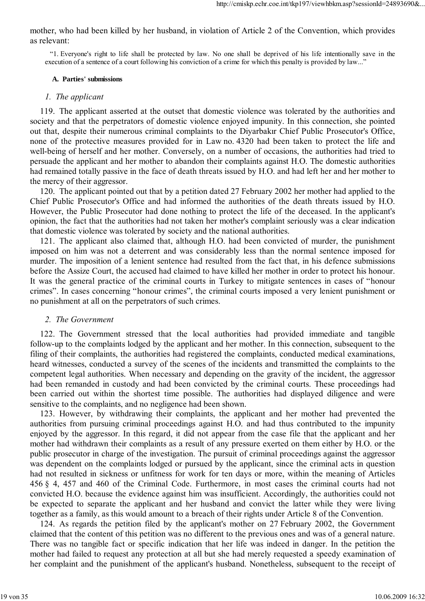mother, who had been killed by her husband, in violation of Article 2 of the Convention, which provides as relevant:

"1. Everyone's right to life shall be protected by law. No one shall be deprived of his life intentionally save in the execution of a sentence of a court following his conviction of a crime for which this penalty is provided by law..."

#### **A. Parties' submissions**

### *1. The applicant*

119. The applicant asserted at the outset that domestic violence was tolerated by the authorities and society and that the perpetrators of domestic violence enjoyed impunity. In this connection, she pointed out that, despite their numerous criminal complaints to the Diyarbakır Chief Public Prosecutor's Office, none of the protective measures provided for in Law no. 4320 had been taken to protect the life and well-being of herself and her mother. Conversely, on a number of occasions, the authorities had tried to persuade the applicant and her mother to abandon their complaints against H.O. The domestic authorities had remained totally passive in the face of death threats issued by H.O. and had left her and her mother to the mercy of their aggressor.

120. The applicant pointed out that by a petition dated 27 February 2002 her mother had applied to the Chief Public Prosecutor's Office and had informed the authorities of the death threats issued by H.O. However, the Public Prosecutor had done nothing to protect the life of the deceased. In the applicant's opinion, the fact that the authorities had not taken her mother's complaint seriously was a clear indication that domestic violence was tolerated by society and the national authorities.

121. The applicant also claimed that, although H.O. had been convicted of murder, the punishment imposed on him was not a deterrent and was considerably less than the normal sentence imposed for murder. The imposition of a lenient sentence had resulted from the fact that, in his defence submissions before the Assize Court, the accused had claimed to have killed her mother in order to protect his honour. It was the general practice of the criminal courts in Turkey to mitigate sentences in cases of "honour crimes". In cases concerning "honour crimes", the criminal courts imposed a very lenient punishment or no punishment at all on the perpetrators of such crimes.

### *2. The Government*

122. The Government stressed that the local authorities had provided immediate and tangible follow-up to the complaints lodged by the applicant and her mother. In this connection, subsequent to the filing of their complaints, the authorities had registered the complaints, conducted medical examinations, heard witnesses, conducted a survey of the scenes of the incidents and transmitted the complaints to the competent legal authorities. When necessary and depending on the gravity of the incident, the aggressor had been remanded in custody and had been convicted by the criminal courts. These proceedings had been carried out within the shortest time possible. The authorities had displayed diligence and were sensitive to the complaints, and no negligence had been shown.

123. However, by withdrawing their complaints, the applicant and her mother had prevented the authorities from pursuing criminal proceedings against H.O. and had thus contributed to the impunity enjoyed by the aggressor. In this regard, it did not appear from the case file that the applicant and her mother had withdrawn their complaints as a result of any pressure exerted on them either by H.O. or the public prosecutor in charge of the investigation. The pursuit of criminal proceedings against the aggressor was dependent on the complaints lodged or pursued by the applicant, since the criminal acts in question had not resulted in sickness or unfitness for work for ten days or more, within the meaning of Articles 456 § 4, 457 and 460 of the Criminal Code. Furthermore, in most cases the criminal courts had not convicted H.O. because the evidence against him was insufficient. Accordingly, the authorities could not be expected to separate the applicant and her husband and convict the latter while they were living together as a family, as this would amount to a breach of their rights under Article 8 of the Convention.

124. As regards the petition filed by the applicant's mother on 27 February 2002, the Government claimed that the content of this petition was no different to the previous ones and was of a general nature. There was no tangible fact or specific indication that her life was indeed in danger. In the petition the mother had failed to request any protection at all but she had merely requested a speedy examination of her complaint and the punishment of the applicant's husband. Nonetheless, subsequent to the receipt of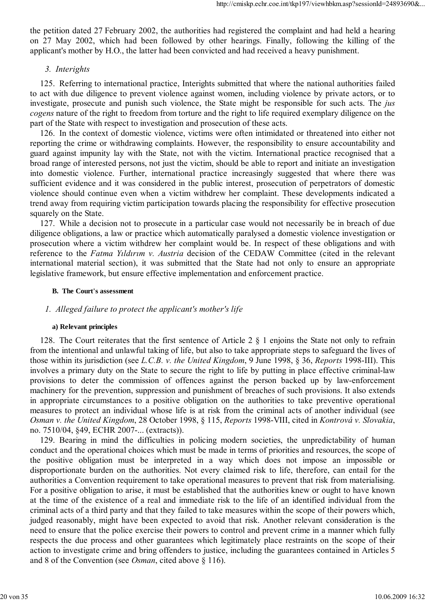the petition dated 27 February 2002, the authorities had registered the complaint and had held a hearing on 27 May 2002, which had been followed by other hearings. Finally, following the killing of the applicant's mother by H.O., the latter had been convicted and had received a heavy punishment.

## *3. Interights*

125. Referring to international practice, Interights submitted that where the national authorities failed to act with due diligence to prevent violence against women, including violence by private actors, or to investigate, prosecute and punish such violence, the State might be responsible for such acts. The *jus cogens* nature of the right to freedom from torture and the right to life required exemplary diligence on the part of the State with respect to investigation and prosecution of these acts.

126. In the context of domestic violence, victims were often intimidated or threatened into either not reporting the crime or withdrawing complaints. However, the responsibility to ensure accountability and guard against impunity lay with the State, not with the victim. International practice recognised that a broad range of interested persons, not just the victim, should be able to report and initiate an investigation into domestic violence. Further, international practice increasingly suggested that where there was sufficient evidence and it was considered in the public interest, prosecution of perpetrators of domestic violence should continue even when a victim withdrew her complaint. These developments indicated a trend away from requiring victim participation towards placing the responsibility for effective prosecution squarely on the State.

127. While a decision not to prosecute in a particular case would not necessarily be in breach of due diligence obligations, a law or practice which automatically paralysed a domestic violence investigation or prosecution where a victim withdrew her complaint would be. In respect of these obligations and with reference to the *Fatma Yıldırım v. Austria* decision of the CEDAW Committee (cited in the relevant international material section), it was submitted that the State had not only to ensure an appropriate legislative framework, but ensure effective implementation and enforcement practice.

## **B. The Court's assessment**

## *1. Alleged failure to protect the applicant's mother's life*

## **a) Relevant principles**

128. The Court reiterates that the first sentence of Article 2 § 1 enjoins the State not only to refrain from the intentional and unlawful taking of life, but also to take appropriate steps to safeguard the lives of those within its jurisdiction (see *L.C.B. v. the United Kingdom*, 9 June 1998, § 36, *Reports* 1998-III). This involves a primary duty on the State to secure the right to life by putting in place effective criminal-law provisions to deter the commission of offences against the person backed up by law-enforcement machinery for the prevention, suppression and punishment of breaches of such provisions. It also extends in appropriate circumstances to a positive obligation on the authorities to take preventive operational measures to protect an individual whose life is at risk from the criminal acts of another individual (see *Osman v. the United Kingdom*, 28 October 1998, § 115, *Reports* 1998-VIII, cited in *Kontrová v. Slovakia*, no. 7510/04, §49, ECHR 2007-... (extracts)).

129. Bearing in mind the difficulties in policing modern societies, the unpredictability of human conduct and the operational choices which must be made in terms of priorities and resources, the scope of the positive obligation must be interpreted in a way which does not impose an impossible or disproportionate burden on the authorities. Not every claimed risk to life, therefore, can entail for the authorities a Convention requirement to take operational measures to prevent that risk from materialising. For a positive obligation to arise, it must be established that the authorities knew or ought to have known at the time of the existence of a real and immediate risk to the life of an identified individual from the criminal acts of a third party and that they failed to take measures within the scope of their powers which, judged reasonably, might have been expected to avoid that risk. Another relevant consideration is the need to ensure that the police exercise their powers to control and prevent crime in a manner which fully respects the due process and other guarantees which legitimately place restraints on the scope of their action to investigate crime and bring offenders to justice, including the guarantees contained in Articles 5 and 8 of the Convention (see *Osman*, cited above § 116).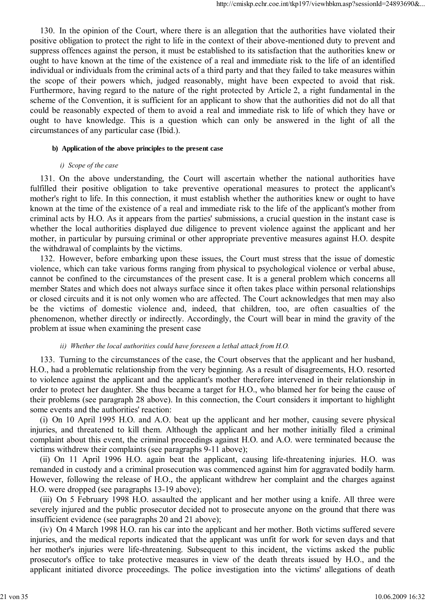130. In the opinion of the Court, where there is an allegation that the authorities have violated their positive obligation to protect the right to life in the context of their above-mentioned duty to prevent and suppress offences against the person, it must be established to its satisfaction that the authorities knew or ought to have known at the time of the existence of a real and immediate risk to the life of an identified individual or individuals from the criminal acts of a third party and that they failed to take measures within the scope of their powers which, judged reasonably, might have been expected to avoid that risk. Furthermore, having regard to the nature of the right protected by Article 2, a right fundamental in the scheme of the Convention, it is sufficient for an applicant to show that the authorities did not do all that could be reasonably expected of them to avoid a real and immediate risk to life of which they have or ought to have knowledge. This is a question which can only be answered in the light of all the circumstances of any particular case (Ibid.).

#### **b) Application of the above principles to the present case**

#### *i) Scope of the case*

131. On the above understanding, the Court will ascertain whether the national authorities have fulfilled their positive obligation to take preventive operational measures to protect the applicant's mother's right to life. In this connection, it must establish whether the authorities knew or ought to have known at the time of the existence of a real and immediate risk to the life of the applicant's mother from criminal acts by H.O. As it appears from the parties' submissions, a crucial question in the instant case is whether the local authorities displayed due diligence to prevent violence against the applicant and her mother, in particular by pursuing criminal or other appropriate preventive measures against H.O. despite the withdrawal of complaints by the victims.

132. However, before embarking upon these issues, the Court must stress that the issue of domestic violence, which can take various forms ranging from physical to psychological violence or verbal abuse, cannot be confined to the circumstances of the present case. It is a general problem which concerns all member States and which does not always surface since it often takes place within personal relationships or closed circuits and it is not only women who are affected. The Court acknowledges that men may also be the victims of domestic violence and, indeed, that children, too, are often casualties of the phenomenon, whether directly or indirectly. Accordingly, the Court will bear in mind the gravity of the problem at issue when examining the present case

#### *ii) Whether the local authorities could have foreseen a lethal attack from H.O.*

133. Turning to the circumstances of the case, the Court observes that the applicant and her husband, H.O., had a problematic relationship from the very beginning. As a result of disagreements, H.O. resorted to violence against the applicant and the applicant's mother therefore intervened in their relationship in order to protect her daughter. She thus became a target for H.O., who blamed her for being the cause of their problems (see paragraph 28 above). In this connection, the Court considers it important to highlight some events and the authorities' reaction:

(i) On 10 April 1995 H.O. and A.O. beat up the applicant and her mother, causing severe physical injuries, and threatened to kill them. Although the applicant and her mother initially filed a criminal complaint about this event, the criminal proceedings against H.O. and A.O. were terminated because the victims withdrew their complaints (see paragraphs 9-11 above);

(ii) On 11 April 1996 H.O. again beat the applicant, causing life-threatening injuries. H.O. was remanded in custody and a criminal prosecution was commenced against him for aggravated bodily harm. However, following the release of H.O., the applicant withdrew her complaint and the charges against H.O. were dropped (see paragraphs 13-19 above);

(iii) On 5 February 1998 H.O. assaulted the applicant and her mother using a knife. All three were severely injured and the public prosecutor decided not to prosecute anyone on the ground that there was insufficient evidence (see paragraphs 20 and 21 above);

(iv) On 4 March 1998 H.O. ran his car into the applicant and her mother. Both victims suffered severe injuries, and the medical reports indicated that the applicant was unfit for work for seven days and that her mother's injuries were life-threatening. Subsequent to this incident, the victims asked the public prosecutor's office to take protective measures in view of the death threats issued by H.O., and the applicant initiated divorce proceedings. The police investigation into the victims' allegations of death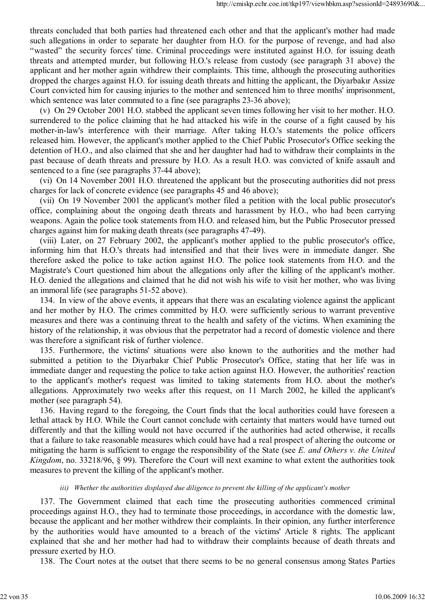threats concluded that both parties had threatened each other and that the applicant's mother had made such allegations in order to separate her daughter from H.O. for the purpose of revenge, and had also "wasted" the security forces' time. Criminal proceedings were instituted against H.O. for issuing death threats and attempted murder, but following H.O.'s release from custody (see paragraph 31 above) the applicant and her mother again withdrew their complaints. This time, although the prosecuting authorities dropped the charges against H.O. for issuing death threats and hitting the applicant, the Diyarbakır Assize Court convicted him for causing injuries to the mother and sentenced him to three months' imprisonment, which sentence was later commuted to a fine (see paragraphs 23-36 above);

(v) On 29 October 2001 H.O. stabbed the applicant seven times following her visit to her mother. H.O. surrendered to the police claiming that he had attacked his wife in the course of a fight caused by his mother-in-law's interference with their marriage. After taking H.O.'s statements the police officers released him. However, the applicant's mother applied to the Chief Public Prosecutor's Office seeking the detention of H.O., and also claimed that she and her daughter had had to withdraw their complaints in the past because of death threats and pressure by H.O. As a result H.O. was convicted of knife assault and sentenced to a fine (see paragraphs 37-44 above);

(vi) On 14 November 2001 H.O. threatened the applicant but the prosecuting authorities did not press charges for lack of concrete evidence (see paragraphs 45 and 46 above);

(vii) On 19 November 2001 the applicant's mother filed a petition with the local public prosecutor's office, complaining about the ongoing death threats and harassment by H.O., who had been carrying weapons. Again the police took statements from H.O. and released him, but the Public Prosecutor pressed charges against him for making death threats (see paragraphs 47-49).

(viii) Later, on 27 February 2002, the applicant's mother applied to the public prosecutor's office, informing him that H.O.'s threats had intensified and that their lives were in immediate danger. She therefore asked the police to take action against H.O. The police took statements from H.O. and the Magistrate's Court questioned him about the allegations only after the killing of the applicant's mother. H.O. denied the allegations and claimed that he did not wish his wife to visit her mother, who was living an immoral life (see paragraphs 51-52 above).

134. In view of the above events, it appears that there was an escalating violence against the applicant and her mother by H.O. The crimes committed by H.O. were sufficiently serious to warrant preventive measures and there was a continuing threat to the health and safety of the victims. When examining the history of the relationship, it was obvious that the perpetrator had a record of domestic violence and there was therefore a significant risk of further violence.

135. Furthermore, the victims' situations were also known to the authorities and the mother had submitted a petition to the Diyarbakır Chief Public Prosecutor's Office, stating that her life was in immediate danger and requesting the police to take action against H.O. However, the authorities' reaction to the applicant's mother's request was limited to taking statements from H.O. about the mother's allegations. Approximately two weeks after this request, on 11 March 2002, he killed the applicant's mother (see paragraph 54).

136. Having regard to the foregoing, the Court finds that the local authorities could have foreseen a lethal attack by H.O. While the Court cannot conclude with certainty that matters would have turned out differently and that the killing would not have occurred if the authorities had acted otherwise, it recalls that a failure to take reasonable measures which could have had a real prospect of altering the outcome or mitigating the harm is sufficient to engage the responsibility of the State (see *E. and Others v. the United Kingdom*, no. 33218/96, § 99). Therefore the Court will next examine to what extent the authorities took measures to prevent the killing of the applicant's mother.

### *iii) Whether the authorities displayed due diligence to prevent the killing of the applicant's mother*

137. The Government claimed that each time the prosecuting authorities commenced criminal proceedings against H.O., they had to terminate those proceedings, in accordance with the domestic law, because the applicant and her mother withdrew their complaints. In their opinion, any further interference by the authorities would have amounted to a breach of the victims' Article 8 rights. The applicant explained that she and her mother had had to withdraw their complaints because of death threats and pressure exerted by H.O.

138. The Court notes at the outset that there seems to be no general consensus among States Parties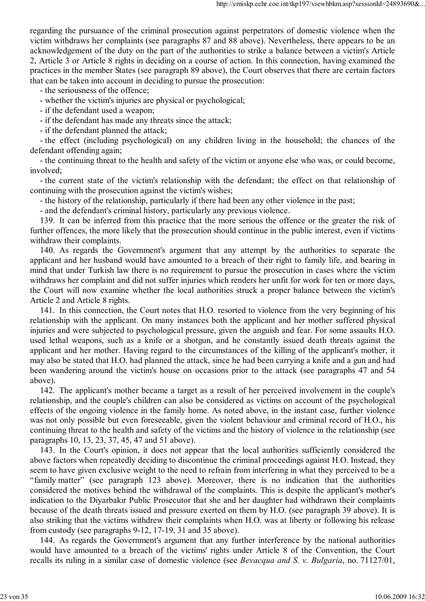regarding the pursuance of the criminal prosecution against perpetrators of domestic violence when the victim withdraws her complaints (see paragraphs 87 and 88 above). Nevertheless, there appears to be an acknowledgement of the duty on the part of the authorities to strike a balance between a victim's Article 2, Article 3 or Article 8 rights in deciding on a course of action. In this connection, having examined the practices in the member States (see paragraph 89 above), the Court observes that there are certain factors that can be taken into account in deciding to pursue the prosecution:

- the seriousness of the offence;

- whether the victim's injuries are physical or psychological;

- if the defendant used a weapon;

- if the defendant has made any threats since the attack;

- if the defendant planned the attack;

- the effect (including psychological) on any children living in the household; the chances of the defendant offending again;

- the continuing threat to the health and safety of the victim or anyone else who was, or could become, involved;

- the current state of the victim's relationship with the defendant; the effect on that relationship of continuing with the prosecution against the victim's wishes;

- the history of the relationship, particularly if there had been any other violence in the past;

- and the defendant's criminal history, particularly any previous violence.

139. It can be inferred from this practice that the more serious the offence or the greater the risk of further offences, the more likely that the prosecution should continue in the public interest, even if victims withdraw their complaints.

140. As regards the Government's argument that any attempt by the authorities to separate the applicant and her husband would have amounted to a breach of their right to family life, and bearing in mind that under Turkish law there is no requirement to pursue the prosecution in cases where the victim withdraws her complaint and did not suffer injuries which renders her unfit for work for ten or more days, the Court will now examine whether the local authorities struck a proper balance between the victim's Article 2 and Article 8 rights.

141. In this connection, the Court notes that H.O. resorted to violence from the very beginning of his relationship with the applicant. On many instances both the applicant and her mother suffered physical injuries and were subjected to psychological pressure, given the anguish and fear. For some assaults H.O. used lethal weapons, such as a knife or a shotgun, and he constantly issued death threats against the applicant and her mother. Having regard to the circumstances of the killing of the applicant's mother, it may also be stated that H.O. had planned the attack, since he had been carrying a knife and a gun and had been wandering around the victim's house on occasions prior to the attack (see paragraphs 47 and 54 above).

142. The applicant's mother became a target as a result of her perceived involvement in the couple's relationship, and the couple's children can also be considered as victims on account of the psychological effects of the ongoing violence in the family home. As noted above, in the instant case, further violence was not only possible but even foreseeable, given the violent behaviour and criminal record of H.O., his continuing threat to the health and safety of the victims and the history of violence in the relationship (see paragraphs 10, 13, 23, 37, 45, 47 and 51 above).

143. In the Court's opinion, it does not appear that the local authorities sufficiently considered the above factors when repeatedly deciding to discontinue the criminal proceedings against H.O. Instead, they seem to have given exclusive weight to the need to refrain from interfering in what they perceived to be a "family matter" (see paragraph 123 above). Moreover, there is no indication that the authorities considered the motives behind the withdrawal of the complaints. This is despite the applicant's mother's indication to the Diyarbakır Public Prosecutor that she and her daughter had withdrawn their complaints because of the death threats issued and pressure exerted on them by H.O. (see paragraph 39 above). It is also striking that the victims withdrew their complaints when H.O. was at liberty or following his release from custody (see paragraphs 9-12, 17-19, 31 and 35 above).

144. As regards the Government's argument that any further interference by the national authorities would have amounted to a breach of the victims' rights under Article 8 of the Convention, the Court recalls its ruling in a similar case of domestic violence (see *Bevacqua and S. v. Bulgaria*, no. 71127/01,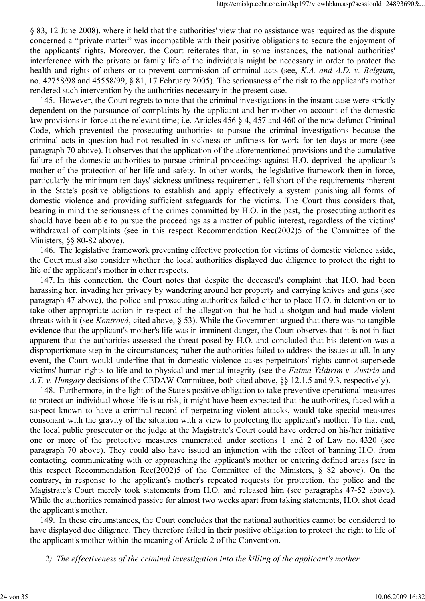§ 83, 12 June 2008), where it held that the authorities' view that no assistance was required as the dispute concerned a "private matter" was incompatible with their positive obligations to secure the enjoyment of the applicants' rights. Moreover, the Court reiterates that, in some instances, the national authorities' interference with the private or family life of the individuals might be necessary in order to protect the health and rights of others or to prevent commission of criminal acts (see, *K.A. and A.D. v. Belgium*, no. 42758/98 and 45558/99, § 81, 17 February 2005). The seriousness of the risk to the applicant's mother rendered such intervention by the authorities necessary in the present case.

145. However, the Court regrets to note that the criminal investigations in the instant case were strictly dependent on the pursuance of complaints by the applicant and her mother on account of the domestic law provisions in force at the relevant time; i.e. Articles 456 § 4, 457 and 460 of the now defunct Criminal Code, which prevented the prosecuting authorities to pursue the criminal investigations because the criminal acts in question had not resulted in sickness or unfitness for work for ten days or more (see paragraph 70 above). It observes that the application of the aforementioned provisions and the cumulative failure of the domestic authorities to pursue criminal proceedings against H.O. deprived the applicant's mother of the protection of her life and safety. In other words, the legislative framework then in force, particularly the minimum ten days' sickness unfitness requirement, fell short of the requirements inherent in the State's positive obligations to establish and apply effectively a system punishing all forms of domestic violence and providing sufficient safeguards for the victims. The Court thus considers that, bearing in mind the seriousness of the crimes committed by H.O. in the past, the prosecuting authorities should have been able to pursue the proceedings as a matter of public interest, regardless of the victims' withdrawal of complaints (see in this respect Recommendation Rec(2002)5 of the Committee of the Ministers, §§ 80-82 above).

146. The legislative framework preventing effective protection for victims of domestic violence aside, the Court must also consider whether the local authorities displayed due diligence to protect the right to life of the applicant's mother in other respects.

147. In this connection, the Court notes that despite the deceased's complaint that H.O. had been harassing her, invading her privacy by wandering around her property and carrying knives and guns (see paragraph 47 above), the police and prosecuting authorities failed either to place H.O. in detention or to take other appropriate action in respect of the allegation that he had a shotgun and had made violent threats with it (see *Kontrová*, cited above, § 53). While the Government argued that there was no tangible evidence that the applicant's mother's life was in imminent danger, the Court observes that it is not in fact apparent that the authorities assessed the threat posed by H.O. and concluded that his detention was a disproportionate step in the circumstances; rather the authorities failed to address the issues at all. In any event, the Court would underline that in domestic violence cases perpetrators' rights cannot supersede victims' human rights to life and to physical and mental integrity (see the *Fatma Yıldırım v. Austria* and *A.T. v. Hungary* decisions of the CEDAW Committee, both cited above, §§ 12.1.5 and 9.3, respectively).

148. Furthermore, in the light of the State's positive obligation to take preventive operational measures to protect an individual whose life is at risk, it might have been expected that the authorities, faced with a suspect known to have a criminal record of perpetrating violent attacks, would take special measures consonant with the gravity of the situation with a view to protecting the applicant's mother. To that end, the local public prosecutor or the judge at the Magistrate's Court could have ordered on his/her initiative one or more of the protective measures enumerated under sections 1 and 2 of Law no. 4320 (see paragraph 70 above). They could also have issued an injunction with the effect of banning H.O. from contacting, communicating with or approaching the applicant's mother or entering defined areas (see in this respect Recommendation Rec(2002)5 of the Committee of the Ministers, § 82 above). On the contrary, in response to the applicant's mother's repeated requests for protection, the police and the Magistrate's Court merely took statements from H.O. and released him (see paragraphs 47-52 above). While the authorities remained passive for almost two weeks apart from taking statements, H.O. shot dead the applicant's mother.

149. In these circumstances, the Court concludes that the national authorities cannot be considered to have displayed due diligence. They therefore failed in their positive obligation to protect the right to life of the applicant's mother within the meaning of Article 2 of the Convention.

*2) The effectiveness of the criminal investigation into the killing of the applicant's mother*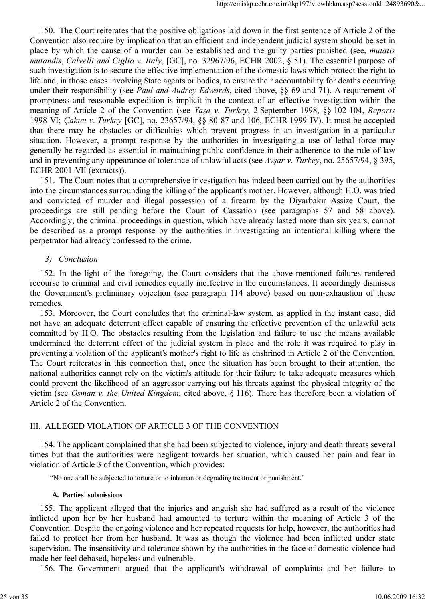150. The Court reiterates that the positive obligations laid down in the first sentence of Article 2 of the Convention also require by implication that an efficient and independent judicial system should be set in place by which the cause of a murder can be established and the guilty parties punished (see, *mutatis mutandis*, *Calvelli and Ciglio v. Italy*, [GC], no. 32967/96, ECHR 2002, § 51). The essential purpose of such investigation is to secure the effective implementation of the domestic laws which protect the right to life and, in those cases involving State agents or bodies, to ensure their accountability for deaths occurring under their responsibility (see *Paul and Audrey Edwards*, cited above, §§ 69 and 71). A requirement of promptness and reasonable expedition is implicit in the context of an effective investigation within the meaning of Article 2 of the Convention (see *Yaşa v. Turkey*, 2 September 1998, §§ 102-104, *Reports* 1998-VI; *Çakıcı v. Turkey* [GC], no. 23657/94, §§ 80-87 and 106, ECHR 1999-IV). It must be accepted that there may be obstacles or difficulties which prevent progress in an investigation in a particular situation. However, a prompt response by the authorities in investigating a use of lethal force may generally be regarded as essential in maintaining public confidence in their adherence to the rule of law and in preventing any appearance of tolerance of unlawful acts (see *Avşar v. Turkey*, no. 25657/94, § 395, ECHR 2001-VII (extracts)).

151. The Court notes that a comprehensive investigation has indeed been carried out by the authorities into the circumstances surrounding the killing of the applicant's mother. However, although H.O. was tried and convicted of murder and illegal possession of a firearm by the Diyarbakır Assize Court, the proceedings are still pending before the Court of Cassation (see paragraphs 57 and 58 above). Accordingly, the criminal proceedings in question, which have already lasted more than six years, cannot be described as a prompt response by the authorities in investigating an intentional killing where the perpetrator had already confessed to the crime.

### *3) Conclusion*

152. In the light of the foregoing, the Court considers that the above-mentioned failures rendered recourse to criminal and civil remedies equally ineffective in the circumstances. It accordingly dismisses the Government's preliminary objection (see paragraph 114 above) based on non-exhaustion of these remedies.

153. Moreover, the Court concludes that the criminal-law system, as applied in the instant case, did not have an adequate deterrent effect capable of ensuring the effective prevention of the unlawful acts committed by H.O. The obstacles resulting from the legislation and failure to use the means available undermined the deterrent effect of the judicial system in place and the role it was required to play in preventing a violation of the applicant's mother's right to life as enshrined in Article 2 of the Convention. The Court reiterates in this connection that, once the situation has been brought to their attention, the national authorities cannot rely on the victim's attitude for their failure to take adequate measures which could prevent the likelihood of an aggressor carrying out his threats against the physical integrity of the victim (see *Osman v. the United Kingdom*, cited above, § 116). There has therefore been a violation of Article 2 of the Convention.

## III. ALLEGED VIOLATION OF ARTICLE 3 OF THE CONVENTION

154. The applicant complained that she had been subjected to violence, injury and death threats several times but that the authorities were negligent towards her situation, which caused her pain and fear in violation of Article 3 of the Convention, which provides:

"No one shall be subjected to torture or to inhuman or degrading treatment or punishment."

#### **A. Parties' submissions**

155. The applicant alleged that the injuries and anguish she had suffered as a result of the violence inflicted upon her by her husband had amounted to torture within the meaning of Article 3 of the Convention. Despite the ongoing violence and her repeated requests for help, however, the authorities had failed to protect her from her husband. It was as though the violence had been inflicted under state supervision. The insensitivity and tolerance shown by the authorities in the face of domestic violence had made her feel debased, hopeless and vulnerable.

156. The Government argued that the applicant's withdrawal of complaints and her failure to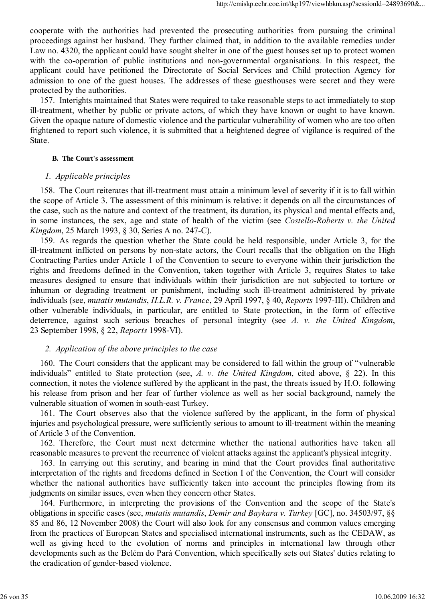cooperate with the authorities had prevented the prosecuting authorities from pursuing the criminal proceedings against her husband. They further claimed that, in addition to the available remedies under Law no. 4320, the applicant could have sought shelter in one of the guest houses set up to protect women with the co-operation of public institutions and non-governmental organisations. In this respect, the applicant could have petitioned the Directorate of Social Services and Child protection Agency for admission to one of the guest houses. The addresses of these guesthouses were secret and they were protected by the authorities.

157. Interights maintained that States were required to take reasonable steps to act immediately to stop ill-treatment, whether by public or private actors, of which they have known or ought to have known. Given the opaque nature of domestic violence and the particular vulnerability of women who are too often frightened to report such violence, it is submitted that a heightened degree of vigilance is required of the State.

#### **B. The Court's assessment**

## *1. Applicable principles*

158. The Court reiterates that ill-treatment must attain a minimum level of severity if it is to fall within the scope of Article 3. The assessment of this minimum is relative: it depends on all the circumstances of the case, such as the nature and context of the treatment, its duration, its physical and mental effects and, in some instances, the sex, age and state of health of the victim (see *Costello-Roberts v. the United Kingdom*, 25 March 1993, § 30, Series A no. 247-C).

159. As regards the question whether the State could be held responsible, under Article 3, for the ill-treatment inflicted on persons by non-state actors, the Court recalls that the obligation on the High Contracting Parties under Article 1 of the Convention to secure to everyone within their jurisdiction the rights and freedoms defined in the Convention, taken together with Article 3, requires States to take measures designed to ensure that individuals within their jurisdiction are not subjected to torture or inhuman or degrading treatment or punishment, including such ill-treatment administered by private individuals (see, *mutatis mutandis*, *H.L.R. v. France*, 29 April 1997, § 40, *Reports* 1997-III). Children and other vulnerable individuals, in particular, are entitled to State protection, in the form of effective deterrence, against such serious breaches of personal integrity (see *A. v. the United Kingdom*, 23 September 1998, § 22, *Reports* 1998-VI).

## *2. Application of the above principles to the case*

160. The Court considers that the applicant may be considered to fall within the group of "vulnerable individuals" entitled to State protection (see, *A. v. the United Kingdom*, cited above, § 22). In this connection, it notes the violence suffered by the applicant in the past, the threats issued by H.O. following his release from prison and her fear of further violence as well as her social background, namely the vulnerable situation of women in south-east Turkey.

161. The Court observes also that the violence suffered by the applicant, in the form of physical injuries and psychological pressure, were sufficiently serious to amount to ill-treatment within the meaning of Article 3 of the Convention.

162. Therefore, the Court must next determine whether the national authorities have taken all reasonable measures to prevent the recurrence of violent attacks against the applicant's physical integrity.

163. In carrying out this scrutiny, and bearing in mind that the Court provides final authoritative interpretation of the rights and freedoms defined in Section I of the Convention, the Court will consider whether the national authorities have sufficiently taken into account the principles flowing from its judgments on similar issues, even when they concern other States.

164. Furthermore, in interpreting the provisions of the Convention and the scope of the State's obligations in specific cases (see, *mutatis mutandis*, *Demir and Baykara v. Turkey* [GC], no. 34503/97, §§ 85 and 86, 12 November 2008) the Court will also look for any consensus and common values emerging from the practices of European States and specialised international instruments, such as the CEDAW, as well as giving heed to the evolution of norms and principles in international law through other developments such as the Belém do Pará Convention, which specifically sets out States' duties relating to the eradication of gender-based violence.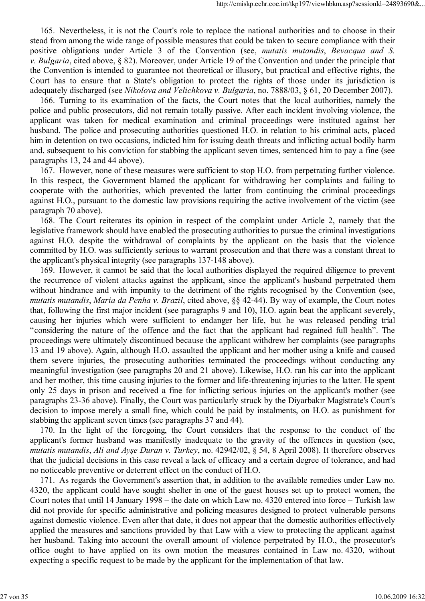165. Nevertheless, it is not the Court's role to replace the national authorities and to choose in their stead from among the wide range of possible measures that could be taken to secure compliance with their positive obligations under Article 3 of the Convention (see, *mutatis mutandis*, *Bevacqua and S. v. Bulgaria*, cited above, § 82). Moreover, under Article 19 of the Convention and under the principle that the Convention is intended to guarantee not theoretical or illusory, but practical and effective rights, the Court has to ensure that a State's obligation to protect the rights of those under its jurisdiction is adequately discharged (see *Nikolova and Velichkova v. Bulgaria*, no. 7888/03, § 61, 20 December 2007).

166. Turning to its examination of the facts, the Court notes that the local authorities, namely the police and public prosecutors, did not remain totally passive. After each incident involving violence, the applicant was taken for medical examination and criminal proceedings were instituted against her husband. The police and prosecuting authorities questioned H.O. in relation to his criminal acts, placed him in detention on two occasions, indicted him for issuing death threats and inflicting actual bodily harm and, subsequent to his conviction for stabbing the applicant seven times, sentenced him to pay a fine (see paragraphs 13, 24 and 44 above).

167. However, none of these measures were sufficient to stop H.O. from perpetrating further violence. In this respect, the Government blamed the applicant for withdrawing her complaints and failing to cooperate with the authorities, which prevented the latter from continuing the criminal proceedings against H.O., pursuant to the domestic law provisions requiring the active involvement of the victim (see paragraph 70 above).

168. The Court reiterates its opinion in respect of the complaint under Article 2, namely that the legislative framework should have enabled the prosecuting authorities to pursue the criminal investigations against H.O. despite the withdrawal of complaints by the applicant on the basis that the violence committed by H.O. was sufficiently serious to warrant prosecution and that there was a constant threat to the applicant's physical integrity (see paragraphs 137-148 above).

169. However, it cannot be said that the local authorities displayed the required diligence to prevent the recurrence of violent attacks against the applicant, since the applicant's husband perpetrated them without hindrance and with impunity to the detriment of the rights recognised by the Convention (see, *mutatis mutandis*, *Maria da Penha v. Brazil*, cited above, §§ 42-44). By way of example, the Court notes that, following the first major incident (see paragraphs 9 and 10), H.O. again beat the applicant severely, causing her injuries which were sufficient to endanger her life, but he was released pending trial "considering the nature of the offence and the fact that the applicant had regained full health". The proceedings were ultimately discontinued because the applicant withdrew her complaints (see paragraphs 13 and 19 above). Again, although H.O. assaulted the applicant and her mother using a knife and caused them severe injuries, the prosecuting authorities terminated the proceedings without conducting any meaningful investigation (see paragraphs 20 and 21 above). Likewise, H.O. ran his car into the applicant and her mother, this time causing injuries to the former and life-threatening injuries to the latter. He spent only 25 days in prison and received a fine for inflicting serious injuries on the applicant's mother (see paragraphs 23-36 above). Finally, the Court was particularly struck by the Diyarbakır Magistrate's Court's decision to impose merely a small fine, which could be paid by instalments, on H.O. as punishment for stabbing the applicant seven times (see paragraphs 37 and 44).

170. In the light of the foregoing, the Court considers that the response to the conduct of the applicant's former husband was manifestly inadequate to the gravity of the offences in question (see, *mutatis mutandis*, *Ali and Ayşe Duran v. Turkey*, no. 42942/02, § 54, 8 April 2008). It therefore observes that the judicial decisions in this case reveal a lack of efficacy and a certain degree of tolerance, and had no noticeable preventive or deterrent effect on the conduct of H.O.

171. As regards the Government's assertion that, in addition to the available remedies under Law no. 4320, the applicant could have sought shelter in one of the guest houses set up to protect women, the Court notes that until 14 January 1998 – the date on which Law no. 4320 entered into force – Turkish law did not provide for specific administrative and policing measures designed to protect vulnerable persons against domestic violence. Even after that date, it does not appear that the domestic authorities effectively applied the measures and sanctions provided by that Law with a view to protecting the applicant against her husband. Taking into account the overall amount of violence perpetrated by H.O., the prosecutor's office ought to have applied on its own motion the measures contained in Law no. 4320, without expecting a specific request to be made by the applicant for the implementation of that law.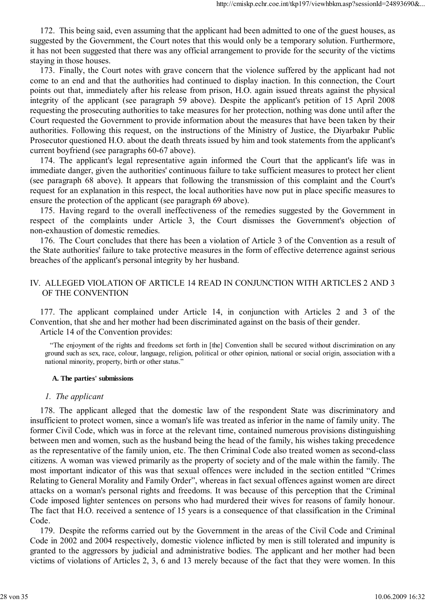172. This being said, even assuming that the applicant had been admitted to one of the guest houses, as suggested by the Government, the Court notes that this would only be a temporary solution. Furthermore, it has not been suggested that there was any official arrangement to provide for the security of the victims staying in those houses.

173. Finally, the Court notes with grave concern that the violence suffered by the applicant had not come to an end and that the authorities had continued to display inaction. In this connection, the Court points out that, immediately after his release from prison, H.O. again issued threats against the physical integrity of the applicant (see paragraph 59 above). Despite the applicant's petition of 15 April 2008 requesting the prosecuting authorities to take measures for her protection, nothing was done until after the Court requested the Government to provide information about the measures that have been taken by their authorities. Following this request, on the instructions of the Ministry of Justice, the Diyarbakır Public Prosecutor questioned H.O. about the death threats issued by him and took statements from the applicant's current boyfriend (see paragraphs 60-67 above).

174. The applicant's legal representative again informed the Court that the applicant's life was in immediate danger, given the authorities' continuous failure to take sufficient measures to protect her client (see paragraph 68 above). It appears that following the transmission of this complaint and the Court's request for an explanation in this respect, the local authorities have now put in place specific measures to ensure the protection of the applicant (see paragraph 69 above).

175. Having regard to the overall ineffectiveness of the remedies suggested by the Government in respect of the complaints under Article 3, the Court dismisses the Government's objection of non-exhaustion of domestic remedies.

176. The Court concludes that there has been a violation of Article 3 of the Convention as a result of the State authorities' failure to take protective measures in the form of effective deterrence against serious breaches of the applicant's personal integrity by her husband.

## IV. ALLEGED VIOLATION OF ARTICLE 14 READ IN CONJUNCTION WITH ARTICLES 2 AND 3 OF THE CONVENTION

177. The applicant complained under Article 14, in conjunction with Articles 2 and 3 of the Convention, that she and her mother had been discriminated against on the basis of their gender. Article 14 of the Convention provides:

"The enjoyment of the rights and freedoms set forth in [the] Convention shall be secured without discrimination on any ground such as sex, race, colour, language, religion, political or other opinion, national or social origin, association with a national minority, property, birth or other status."

#### **A. The parties' submissions**

### *1. The applicant*

178. The applicant alleged that the domestic law of the respondent State was discriminatory and insufficient to protect women, since a woman's life was treated as inferior in the name of family unity. The former Civil Code, which was in force at the relevant time, contained numerous provisions distinguishing between men and women, such as the husband being the head of the family, his wishes taking precedence as the representative of the family union, etc. The then Criminal Code also treated women as second-class citizens. A woman was viewed primarily as the property of society and of the male within the family. The most important indicator of this was that sexual offences were included in the section entitled "Crimes Relating to General Morality and Family Order", whereas in fact sexual offences against women are direct attacks on a woman's personal rights and freedoms. It was because of this perception that the Criminal Code imposed lighter sentences on persons who had murdered their wives for reasons of family honour. The fact that H.O. received a sentence of 15 years is a consequence of that classification in the Criminal Code.

179. Despite the reforms carried out by the Government in the areas of the Civil Code and Criminal Code in 2002 and 2004 respectively, domestic violence inflicted by men is still tolerated and impunity is granted to the aggressors by judicial and administrative bodies. The applicant and her mother had been victims of violations of Articles 2, 3, 6 and 13 merely because of the fact that they were women. In this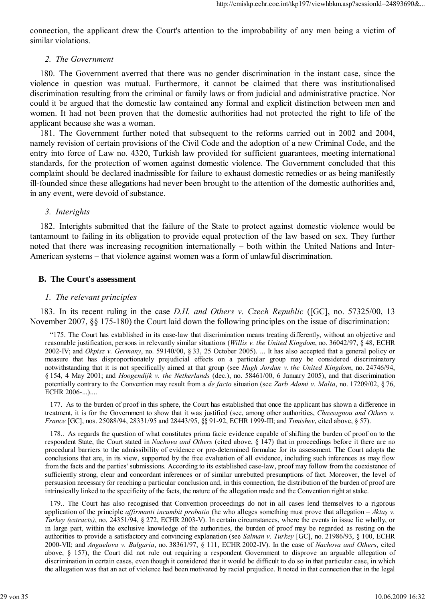connection, the applicant drew the Court's attention to the improbability of any men being a victim of similar violations.

### *2. The Government*

180. The Government averred that there was no gender discrimination in the instant case, since the violence in question was mutual. Furthermore, it cannot be claimed that there was institutionalised discrimination resulting from the criminal or family laws or from judicial and administrative practice. Nor could it be argued that the domestic law contained any formal and explicit distinction between men and women. It had not been proven that the domestic authorities had not protected the right to life of the applicant because she was a woman.

181. The Government further noted that subsequent to the reforms carried out in 2002 and 2004, namely revision of certain provisions of the Civil Code and the adoption of a new Criminal Code, and the entry into force of Law no. 4320, Turkish law provided for sufficient guarantees, meeting international standards, for the protection of women against domestic violence. The Government concluded that this complaint should be declared inadmissible for failure to exhaust domestic remedies or as being manifestly ill-founded since these allegations had never been brought to the attention of the domestic authorities and, in any event, were devoid of substance.

## *3. Interights*

182. Interights submitted that the failure of the State to protect against domestic violence would be tantamount to failing in its obligation to provide equal protection of the law based on sex. They further noted that there was increasing recognition internationally – both within the United Nations and Inter-American systems – that violence against women was a form of unlawful discrimination.

## **B. The Court's assessment**

## *1. The relevant principles*

183. In its recent ruling in the case *D.H. and Others v. Czech Republic* ([GC], no. 57325/00, 13 November 2007, §§ 175-180) the Court laid down the following principles on the issue of discrimination:

"175. The Court has established in its case-law that discrimination means treating differently, without an objective and reasonable justification, persons in relevantly similar situations (*Willis v. the United Kingdom*, no. 36042/97, § 48, ECHR 2002-IV; and *Okpisz v. Germany*, no. 59140/00, § 33, 25 October 2005). ... It has also accepted that a general policy or measure that has disproportionately prejudicial effects on a particular group may be considered discriminatory notwithstanding that it is not specifically aimed at that group (see *Hugh Jordan v. the United Kingdom*, no. 24746/94, § 154, 4 May 2001; and *Hoogendijk v. the Netherlands* (dec.), no. 58461/00, 6 January 2005), and that discrimination potentially contrary to the Convention may result from a *de facto* situation (see *Zarb Adami v. Malta*, no. 17209/02, § 76, ECHR 2006-...)....

177. As to the burden of proof in this sphere, the Court has established that once the applicant has shown a difference in treatment, it is for the Government to show that it was justified (see, among other authorities, *Chassagnou and Others v. France* [GC], nos. 25088/94, 28331/95 and 28443/95, §§ 91-92, ECHR 1999-III; and *Timishev*, cited above, § 57).

178.. As regards the question of what constitutes prima facie evidence capable of shifting the burden of proof on to the respondent State, the Court stated in *Nachova and Others* (cited above, § 147) that in proceedings before it there are no procedural barriers to the admissibility of evidence or pre-determined formulae for its assessment. The Court adopts the conclusions that are, in its view, supported by the free evaluation of all evidence, including such inferences as may flow from the facts and the parties' submissions. According to its established case-law, proof may follow from the coexistence of sufficiently strong, clear and concordant inferences or of similar unrebutted presumptions of fact. Moreover, the level of persuasion necessary for reaching a particular conclusion and, in this connection, the distribution of the burden of proof are intrinsically linked to the specificity of the facts, the nature of the allegation made and the Convention right at stake.

179.. The Court has also recognised that Convention proceedings do not in all cases lend themselves to a rigorous application of the principle *affirmanti incumbit probatio* (he who alleges something must prove that allegation – *Aktaş v. Turkey (extracts)*, no. 24351/94, § 272, ECHR 2003-V). In certain circumstances, where the events in issue lie wholly, or in large part, within the exclusive knowledge of the authorities, the burden of proof may be regarded as resting on the authorities to provide a satisfactory and convincing explanation (see *Salman v. Turkey* [GC], no. 21986/93, § 100, ECHR 2000-VII; and *Anguelova v. Bulgaria*, no. 38361/97, § 111, ECHR 2002-IV). In the case of *Nachova and Others*, cited above, § 157), the Court did not rule out requiring a respondent Government to disprove an arguable allegation of discrimination in certain cases, even though it considered that it would be difficult to do so in that particular case, in which the allegation was that an act of violence had been motivated by racial prejudice. It noted in that connection that in the legal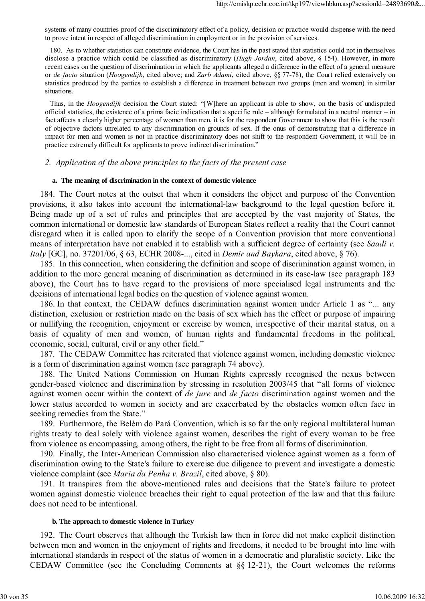systems of many countries proof of the discriminatory effect of a policy, decision or practice would dispense with the need to prove intent in respect of alleged discrimination in employment or in the provision of services.

180. As to whether statistics can constitute evidence, the Court has in the past stated that statistics could not in themselves disclose a practice which could be classified as discriminatory (*Hugh Jordan*, cited above, § 154). However, in more recent cases on the question of discrimination in which the applicants alleged a difference in the effect of a general measure or *de facto* situation (*Hoogendijk*, cited above; and *Zarb Adami*, cited above, §§ 77-78), the Court relied extensively on statistics produced by the parties to establish a difference in treatment between two groups (men and women) in similar situations.

Thus, in the *Hoogendijk* decision the Court stated: "[W]here an applicant is able to show, on the basis of undisputed official statistics, the existence of a prima facie indication that a specific rule – although formulated in a neutral manner – in fact affects a clearly higher percentage of women than men, it is for the respondent Government to show that this is the result of objective factors unrelated to any discrimination on grounds of sex. If the onus of demonstrating that a difference in impact for men and women is not in practice discriminatory does not shift to the respondent Government, it will be in practice extremely difficult for applicants to prove indirect discrimination."

#### *2. Application of the above principles to the facts of the present case*

#### **a. The meaning of discrimination in the context of domestic violence**

184. The Court notes at the outset that when it considers the object and purpose of the Convention provisions, it also takes into account the international-law background to the legal question before it. Being made up of a set of rules and principles that are accepted by the vast majority of States, the common international or domestic law standards of European States reflect a reality that the Court cannot disregard when it is called upon to clarify the scope of a Convention provision that more conventional means of interpretation have not enabled it to establish with a sufficient degree of certainty (see *Saadi v. Italy* [GC], no. 37201/06, § 63, ECHR 2008-..., cited in *Demir and Baykara*, cited above, § 76).

185. In this connection, when considering the definition and scope of discrimination against women, in addition to the more general meaning of discrimination as determined in its case-law (see paragraph 183 above), the Court has to have regard to the provisions of more specialised legal instruments and the decisions of international legal bodies on the question of violence against women.

186. In that context, the CEDAW defines discrimination against women under Article 1 as "... any distinction, exclusion or restriction made on the basis of sex which has the effect or purpose of impairing or nullifying the recognition, enjoyment or exercise by women, irrespective of their marital status, on a basis of equality of men and women, of human rights and fundamental freedoms in the political, economic, social, cultural, civil or any other field."

187. The CEDAW Committee has reiterated that violence against women, including domestic violence is a form of discrimination against women (see paragraph 74 above).

188. The United Nations Commission on Human Rights expressly recognised the nexus between gender-based violence and discrimination by stressing in resolution 2003/45 that "all forms of violence against women occur within the context of *de jure* and *de facto* discrimination against women and the lower status accorded to women in society and are exacerbated by the obstacles women often face in seeking remedies from the State."

189. Furthermore, the Belém do Pará Convention, which is so far the only regional multilateral human rights treaty to deal solely with violence against women, describes the right of every woman to be free from violence as encompassing, among others, the right to be free from all forms of discrimination.

190. Finally, the Inter-American Commission also characterised violence against women as a form of discrimination owing to the State's failure to exercise due diligence to prevent and investigate a domestic violence complaint (see *Maria da Penha v. Brazil*, cited above, § 80).

191. It transpires from the above-mentioned rules and decisions that the State's failure to protect women against domestic violence breaches their right to equal protection of the law and that this failure does not need to be intentional.

#### **b. The approach to domestic violence in Turkey**

192. The Court observes that although the Turkish law then in force did not make explicit distinction between men and women in the enjoyment of rights and freedoms, it needed to be brought into line with international standards in respect of the status of women in a democratic and pluralistic society. Like the CEDAW Committee (see the Concluding Comments at §§ 12-21), the Court welcomes the reforms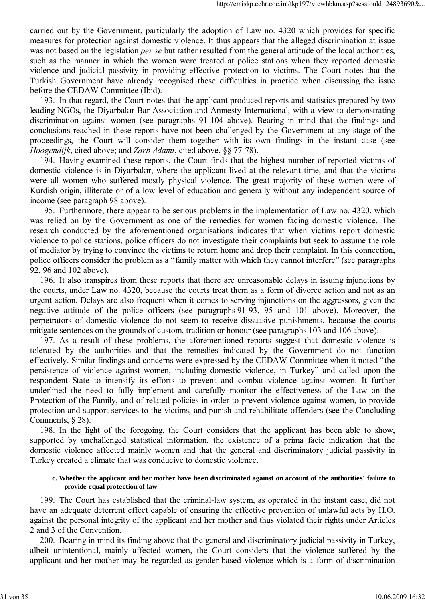carried out by the Government, particularly the adoption of Law no. 4320 which provides for specific measures for protection against domestic violence. It thus appears that the alleged discrimination at issue was not based on the legislation *per se* but rather resulted from the general attitude of the local authorities, such as the manner in which the women were treated at police stations when they reported domestic violence and judicial passivity in providing effective protection to victims. The Court notes that the Turkish Government have already recognised these difficulties in practice when discussing the issue before the CEDAW Committee (Ibid).

193. In that regard, the Court notes that the applicant produced reports and statistics prepared by two leading NGOs, the Diyarbakır Bar Association and Amnesty International, with a view to demonstrating discrimination against women (see paragraphs 91-104 above). Bearing in mind that the findings and conclusions reached in these reports have not been challenged by the Government at any stage of the proceedings, the Court will consider them together with its own findings in the instant case (see *Hoogendijk*, cited above; and *Zarb Adami*, cited above, §§ 77-78).

194. Having examined these reports, the Court finds that the highest number of reported victims of domestic violence is in Diyarbakır, where the applicant lived at the relevant time, and that the victims were all women who suffered mostly physical violence. The great majority of these women were of Kurdish origin, illiterate or of a low level of education and generally without any independent source of income (see paragraph 98 above).

195. Furthermore, there appear to be serious problems in the implementation of Law no. 4320, which was relied on by the Government as one of the remedies for women facing domestic violence. The research conducted by the aforementioned organisations indicates that when victims report domestic violence to police stations, police officers do not investigate their complaints but seek to assume the role of mediator by trying to convince the victims to return home and drop their complaint. In this connection, police officers consider the problem as a "family matter with which they cannot interfere" (see paragraphs 92, 96 and 102 above).

196. It also transpires from these reports that there are unreasonable delays in issuing injunctions by the courts, under Law no. 4320, because the courts treat them as a form of divorce action and not as an urgent action. Delays are also frequent when it comes to serving injunctions on the aggressors, given the negative attitude of the police officers (see paragraphs 91-93, 95 and 101 above). Moreover, the perpetrators of domestic violence do not seem to receive dissuasive punishments, because the courts mitigate sentences on the grounds of custom, tradition or honour (see paragraphs 103 and 106 above).

197. As a result of these problems, the aforementioned reports suggest that domestic violence is tolerated by the authorities and that the remedies indicated by the Government do not function effectively. Similar findings and concerns were expressed by the CEDAW Committee when it noted "the persistence of violence against women, including domestic violence, in Turkey" and called upon the respondent State to intensify its efforts to prevent and combat violence against women. It further underlined the need to fully implement and carefully monitor the effectiveness of the Law on the Protection of the Family, and of related policies in order to prevent violence against women, to provide protection and support services to the victims, and punish and rehabilitate offenders (see the Concluding Comments, § 28).

198. In the light of the foregoing, the Court considers that the applicant has been able to show, supported by unchallenged statistical information, the existence of a prima facie indication that the domestic violence affected mainly women and that the general and discriminatory judicial passivity in Turkey created a climate that was conducive to domestic violence.

#### **c. Whether the applicant and her mother have been discriminated against on account of the authorities' failure to provide equal protection of law**

199. The Court has established that the criminal-law system, as operated in the instant case, did not have an adequate deterrent effect capable of ensuring the effective prevention of unlawful acts by H.O. against the personal integrity of the applicant and her mother and thus violated their rights under Articles 2 and 3 of the Convention.

200. Bearing in mind its finding above that the general and discriminatory judicial passivity in Turkey, albeit unintentional, mainly affected women, the Court considers that the violence suffered by the applicant and her mother may be regarded as gender-based violence which is a form of discrimination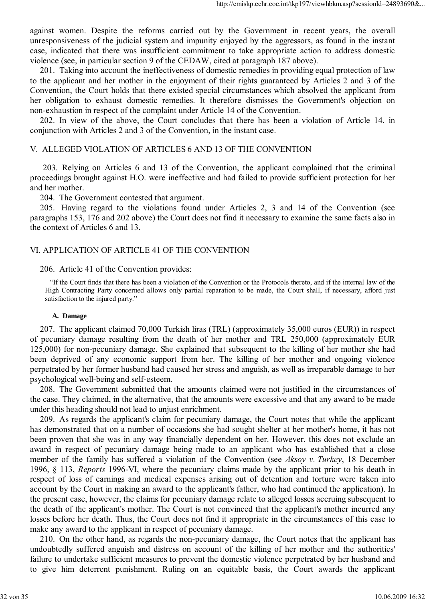against women. Despite the reforms carried out by the Government in recent years, the overall unresponsiveness of the judicial system and impunity enjoyed by the aggressors, as found in the instant case, indicated that there was insufficient commitment to take appropriate action to address domestic violence (see, in particular section 9 of the CEDAW, cited at paragraph 187 above).

201. Taking into account the ineffectiveness of domestic remedies in providing equal protection of law to the applicant and her mother in the enjoyment of their rights guaranteed by Articles 2 and 3 of the Convention, the Court holds that there existed special circumstances which absolved the applicant from her obligation to exhaust domestic remedies. It therefore dismisses the Government's objection on non-exhaustion in respect of the complaint under Article 14 of the Convention.

202. In view of the above, the Court concludes that there has been a violation of Article 14, in conjunction with Articles 2 and 3 of the Convention, in the instant case.

### V. ALLEGED VIOLATION OF ARTICLES 6 AND 13 OF THE CONVENTION

203. Relying on Articles 6 and 13 of the Convention, the applicant complained that the criminal proceedings brought against H.O. were ineffective and had failed to provide sufficient protection for her and her mother.

204. The Government contested that argument.

205. Having regard to the violations found under Articles 2, 3 and 14 of the Convention (see paragraphs 153, 176 and 202 above) the Court does not find it necessary to examine the same facts also in the context of Articles 6 and 13.

### VI. APPLICATION OF ARTICLE 41 OF THE CONVENTION

### 206. Article 41 of the Convention provides:

"If the Court finds that there has been a violation of the Convention or the Protocols thereto, and if the internal law of the High Contracting Party concerned allows only partial reparation to be made, the Court shall, if necessary, afford just satisfaction to the injured party."

#### **A. Damage**

207. The applicant claimed 70,000 Turkish liras (TRL) (approximately 35,000 euros (EUR)) in respect of pecuniary damage resulting from the death of her mother and TRL 250,000 (approximately EUR 125,000) for non-pecuniary damage. She explained that subsequent to the killing of her mother she had been deprived of any economic support from her. The killing of her mother and ongoing violence perpetrated by her former husband had caused her stress and anguish, as well as irreparable damage to her psychological well-being and self-esteem.

208. The Government submitted that the amounts claimed were not justified in the circumstances of the case. They claimed, in the alternative, that the amounts were excessive and that any award to be made under this heading should not lead to unjust enrichment.

209. As regards the applicant's claim for pecuniary damage, the Court notes that while the applicant has demonstrated that on a number of occasions she had sought shelter at her mother's home, it has not been proven that she was in any way financially dependent on her. However, this does not exclude an award in respect of pecuniary damage being made to an applicant who has established that a close member of the family has suffered a violation of the Convention (see *Aksoy v. Turkey*, 18 December 1996, § 113, *Reports* 1996-VI, where the pecuniary claims made by the applicant prior to his death in respect of loss of earnings and medical expenses arising out of detention and torture were taken into account by the Court in making an award to the applicant's father, who had continued the application). In the present case, however, the claims for pecuniary damage relate to alleged losses accruing subsequent to the death of the applicant's mother. The Court is not convinced that the applicant's mother incurred any losses before her death. Thus, the Court does not find it appropriate in the circumstances of this case to make any award to the applicant in respect of pecuniary damage.

210. On the other hand, as regards the non-pecuniary damage, the Court notes that the applicant has undoubtedly suffered anguish and distress on account of the killing of her mother and the authorities' failure to undertake sufficient measures to prevent the domestic violence perpetrated by her husband and to give him deterrent punishment. Ruling on an equitable basis, the Court awards the applicant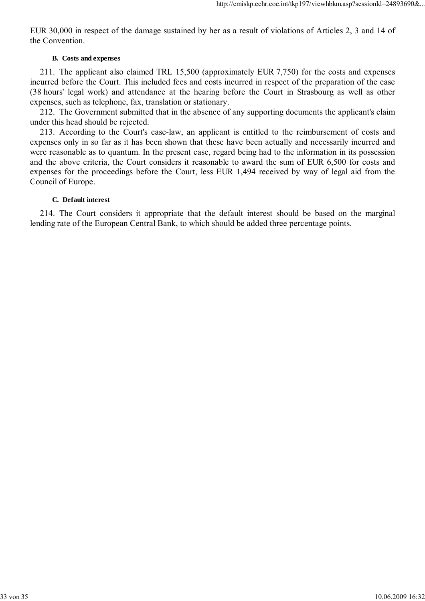EUR 30,000 in respect of the damage sustained by her as a result of violations of Articles 2, 3 and 14 of the Convention.

### **B. Costs and expenses**

211. The applicant also claimed TRL 15,500 (approximately EUR 7,750) for the costs and expenses incurred before the Court. This included fees and costs incurred in respect of the preparation of the case (38 hours' legal work) and attendance at the hearing before the Court in Strasbourg as well as other expenses, such as telephone, fax, translation or stationary.

212. The Government submitted that in the absence of any supporting documents the applicant's claim under this head should be rejected.

213. According to the Court's case-law, an applicant is entitled to the reimbursement of costs and expenses only in so far as it has been shown that these have been actually and necessarily incurred and were reasonable as to quantum. In the present case, regard being had to the information in its possession and the above criteria, the Court considers it reasonable to award the sum of EUR 6,500 for costs and expenses for the proceedings before the Court, less EUR 1,494 received by way of legal aid from the Council of Europe.

### **C. Default interest**

214. The Court considers it appropriate that the default interest should be based on the marginal lending rate of the European Central Bank, to which should be added three percentage points.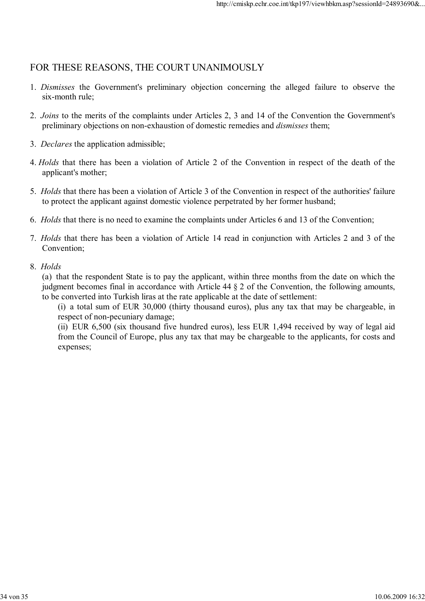# FOR THESE REASONS, THE COURT UNANIMOUSLY

- 1. *Dismisses* the Government's preliminary objection concerning the alleged failure to observe the six-month rule;
- 2. *Joins* to the merits of the complaints under Articles 2, 3 and 14 of the Convention the Government's preliminary objections on non-exhaustion of domestic remedies and *dismisses* them;
- 3. *Declares* the application admissible;
- 4. *Holds* that there has been a violation of Article 2 of the Convention in respect of the death of the applicant's mother;
- 5. *Holds* that there has been a violation of Article 3 of the Convention in respect of the authorities' failure to protect the applicant against domestic violence perpetrated by her former husband;
- 6. *Holds* that there is no need to examine the complaints under Articles 6 and 13 of the Convention;
- 7. *Holds* that there has been a violation of Article 14 read in conjunction with Articles 2 and 3 of the Convention;

## 8. *Holds*

(a) that the respondent State is to pay the applicant, within three months from the date on which the judgment becomes final in accordance with Article 44 § 2 of the Convention, the following amounts, to be converted into Turkish liras at the rate applicable at the date of settlement:

(i) a total sum of EUR 30,000 (thirty thousand euros), plus any tax that may be chargeable, in respect of non-pecuniary damage;

(ii) EUR 6,500 (six thousand five hundred euros), less EUR 1,494 received by way of legal aid from the Council of Europe, plus any tax that may be chargeable to the applicants, for costs and expenses;